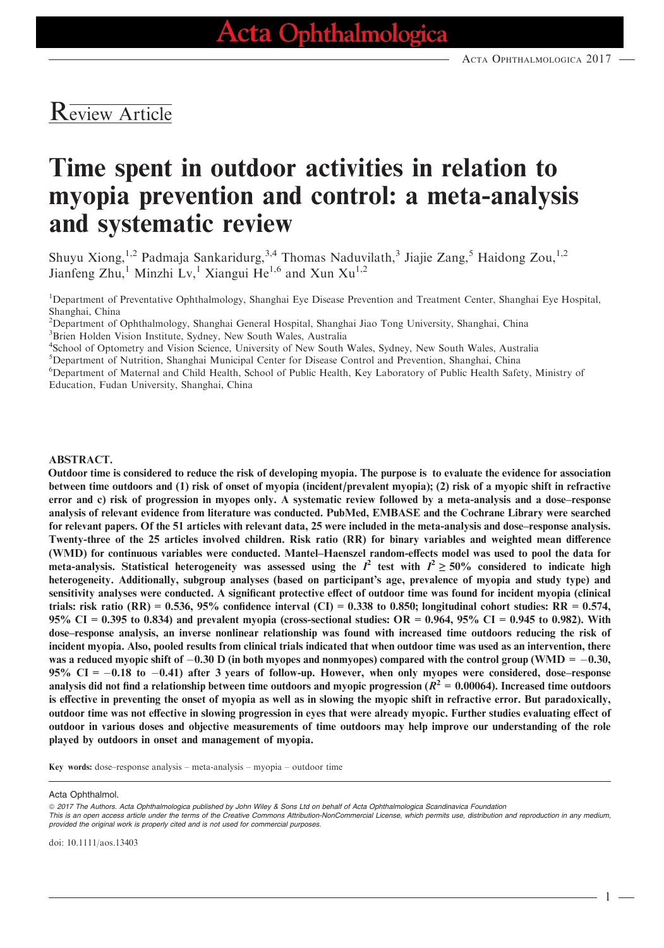# Review Article

# Time spent in outdoor activities in relation to myopia prevention and control: a meta-analysis and systematic review

Shuyu Xiong,<sup>1,2</sup> Padmaja Sankaridurg,<sup>3,4</sup> Thomas Naduvilath,<sup>3</sup> Jiajie Zang,<sup>5</sup> Haidong Zou,<sup>1,2</sup> Jianfeng Zhu,<sup>1</sup> Minzhi Lv,<sup>1</sup> Xiangui He<sup>1,6</sup> and Xun Xu<sup>1,2</sup>

<sup>1</sup>Department of Preventative Ophthalmology, Shanghai Eye Disease Prevention and Treatment Center, Shanghai Eye Hospital, Shanghai, China

2 Department of Ophthalmology, Shanghai General Hospital, Shanghai Jiao Tong University, Shanghai, China 3 Brien Holden Vision Institute, Sydney, New South Wales, Australia

4 School of Optometry and Vision Science, University of New South Wales, Sydney, New South Wales, Australia

<sup>5</sup>Department of Nutrition, Shanghai Municipal Center for Disease Control and Prevention, Shanghai, China

6 Department of Maternal and Child Health, School of Public Health, Key Laboratory of Public Health Safety, Ministry of Education, Fudan University, Shanghai, China

#### ABSTRACT.

Outdoor time is considered to reduce the risk of developing myopia. The purpose is to evaluate the evidence for association between time outdoors and (1) risk of onset of myopia (incident/prevalent myopia); (2) risk of a myopic shift in refractive error and c) risk of progression in myopes only. A systematic review followed by a meta-analysis and a dose–response analysis of relevant evidence from literature was conducted. PubMed, EMBASE and the Cochrane Library were searched for relevant papers. Of the 51 articles with relevant data, 25 were included in the meta-analysis and dose–response analysis. Twenty-three of the 25 articles involved children. Risk ratio (RR) for binary variables and weighted mean difference (WMD) for continuous variables were conducted. Mantel–Haenszel random-effects model was used to pool the data for meta-analysis. Statistical heterogeneity was assessed using the  $I^2$  test with  $I^2 \ge 50\%$  considered to indicate high heterogeneity. Additionally, subgroup analyses (based on participant's age, prevalence of myopia and study type) and sensitivity analyses were conducted. A significant protective effect of outdoor time was found for incident myopia (clinical trials: risk ratio (RR) = 0.536, 95% confidence interval (CI) = 0.338 to 0.850; longitudinal cohort studies: RR = 0.574, 95% CI = 0.395 to 0.834) and prevalent myopia (cross-sectional studies:  $OR = 0.964$ , 95% CI = 0.945 to 0.982). With dose–response analysis, an inverse nonlinear relationship was found with increased time outdoors reducing the risk of incident myopia. Also, pooled results from clinical trials indicated that when outdoor time was used as an intervention, there was a reduced myopic shift of  $-0.30$  D (in both myopes and nonmyopes) compared with the control group (WMD =  $-0.30$ , 95% CI =  $-0.18$  to  $-0.41$ ) after 3 years of follow-up. However, when only myopes were considered, dose–response analysis did not find a relationship between time outdoors and myopic progression ( $R^2 = 0.00064$ ). Increased time outdoors is effective in preventing the onset of myopia as well as in slowing the myopic shift in refractive error. But paradoxically, outdoor time was not effective in slowing progression in eyes that were already myopic. Further studies evaluating effect of outdoor in various doses and objective measurements of time outdoors may help improve our understanding of the role played by outdoors in onset and management of myopia.

Key words: dose–response analysis – meta-analysis – myopia – outdoor time

This is an open access article under the terms of the [Creative Commons Attribution-NonCommercial](http://creativecommons.org/licenses/by-nc/4.0/) License, which permits use, distribution and reproduction in any medium, provided the original work is properly cited and is not used for commercial purposes.

doi: 10.1111/aos.13403

Acta Ophthalmol.

<sup>© 2017</sup> The Authors. Acta Ophthalmologica published by John Wiley & Sons Ltd on behalf of Acta Ophthalmologica Scandinavica Foundation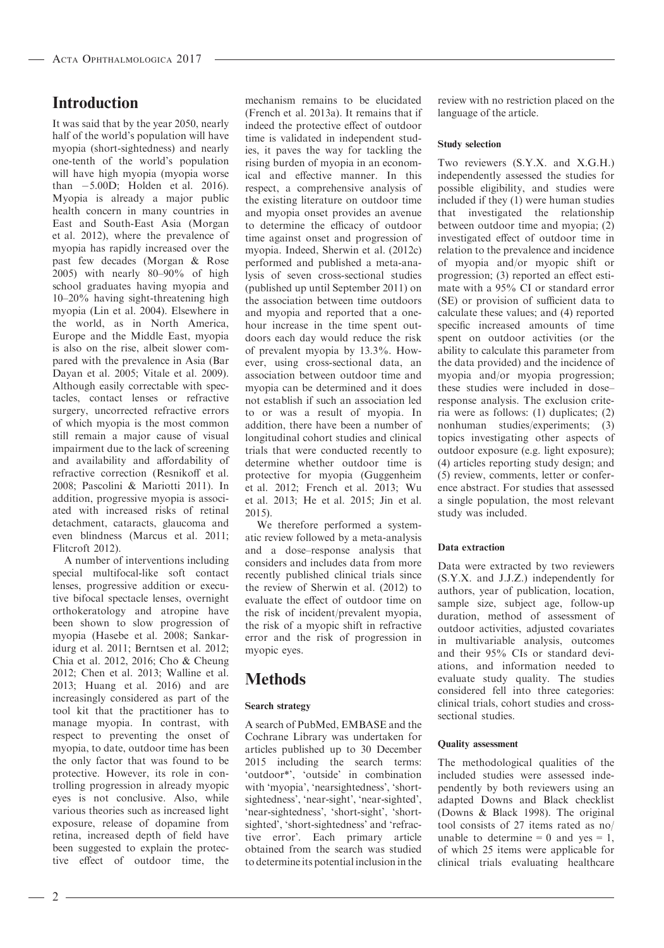# Introduction

It was said that by the year 2050, nearly half of the world's population will have myopia (short-sightedness) and nearly one-tenth of the world's population will have high myopia (myopia worse than  $-5.00D$ ; Holden et al. 2016). Myopia is already a major public health concern in many countries in East and South-East Asia (Morgan et al. 2012), where the prevalence of myopia has rapidly increased over the past few decades (Morgan & Rose 2005) with nearly 80–90% of high school graduates having myopia and 10–20% having sight-threatening high myopia (Lin et al. 2004). Elsewhere in the world, as in North America, Europe and the Middle East, myopia is also on the rise, albeit slower compared with the prevalence in Asia (Bar Dayan et al. 2005; Vitale et al. 2009). Although easily correctable with spectacles, contact lenses or refractive surgery, uncorrected refractive errors of which myopia is the most common still remain a major cause of visual impairment due to the lack of screening and availability and affordability of refractive correction (Resnikoff et al. 2008; Pascolini & Mariotti 2011). In addition, progressive myopia is associated with increased risks of retinal detachment, cataracts, glaucoma and even blindness (Marcus et al. 2011; Flitcroft 2012).

A number of interventions including special multifocal-like soft contact lenses, progressive addition or executive bifocal spectacle lenses, overnight orthokeratology and atropine have been shown to slow progression of myopia (Hasebe et al. 2008; Sankaridurg et al. 2011; Berntsen et al. 2012; Chia et al. 2012, 2016; Cho & Cheung 2012; Chen et al. 2013; Walline et al. 2013; Huang et al. 2016) and are increasingly considered as part of the tool kit that the practitioner has to manage myopia. In contrast, with respect to preventing the onset of myopia, to date, outdoor time has been the only factor that was found to be protective. However, its role in controlling progression in already myopic eyes is not conclusive. Also, while various theories such as increased light exposure, release of dopamine from retina, increased depth of field have been suggested to explain the protective effect of outdoor time, the

mechanism remains to be elucidated (French et al. 2013a). It remains that if indeed the protective effect of outdoor time is validated in independent studies, it paves the way for tackling the rising burden of myopia in an economical and effective manner. In this respect, a comprehensive analysis of the existing literature on outdoor time and myopia onset provides an avenue to determine the efficacy of outdoor time against onset and progression of myopia. Indeed, Sherwin et al. (2012c) performed and published a meta-analysis of seven cross-sectional studies (published up until September 2011) on the association between time outdoors and myopia and reported that a onehour increase in the time spent outdoors each day would reduce the risk of prevalent myopia by 13.3%. However, using cross-sectional data, an association between outdoor time and myopia can be determined and it does not establish if such an association led to or was a result of myopia. In addition, there have been a number of longitudinal cohort studies and clinical trials that were conducted recently to determine whether outdoor time is protective for myopia (Guggenheim et al. 2012; French et al. 2013; Wu et al. 2013; He et al. 2015; Jin et al. 2015).

We therefore performed a systematic review followed by a meta-analysis and a dose–response analysis that considers and includes data from more recently published clinical trials since the review of Sherwin et al. (2012) to evaluate the effect of outdoor time on the risk of incident/prevalent myopia, the risk of a myopic shift in refractive error and the risk of progression in myopic eyes.

# Methods

# Search strategy

A search of PubMed, EMBASE and the Cochrane Library was undertaken for articles published up to 30 December 2015 including the search terms: 'outdoor\*', 'outside' in combination with 'myopia', 'nearsightedness', 'shortsightedness', 'near-sight', 'near-sighted', 'near-sightedness', 'short-sight', 'shortsighted', 'short-sightedness' and 'refractive error'. Each primary article obtained from the search was studied to determine its potential inclusion in the

review with no restriction placed on the language of the article.

## Study selection

Two reviewers (S.Y.X. and X.G.H.) independently assessed the studies for possible eligibility, and studies were included if they (1) were human studies that investigated the relationship between outdoor time and myopia; (2) investigated effect of outdoor time in relation to the prevalence and incidence of myopia and/or myopic shift or progression; (3) reported an effect estimate with a 95% CI or standard error (SE) or provision of sufficient data to calculate these values; and (4) reported specific increased amounts of time spent on outdoor activities (or the ability to calculate this parameter from the data provided) and the incidence of myopia and/or myopia progression; these studies were included in dose– response analysis. The exclusion criteria were as follows: (1) duplicates; (2) nonhuman studies/experiments; (3) topics investigating other aspects of outdoor exposure (e.g. light exposure); (4) articles reporting study design; and (5) review, comments, letter or conference abstract. For studies that assessed a single population, the most relevant study was included.

# Data extraction

Data were extracted by two reviewers (S.Y.X. and J.J.Z.) independently for authors, year of publication, location, sample size, subject age, follow-up duration, method of assessment of outdoor activities, adjusted covariates in multivariable analysis, outcomes and their 95% CIs or standard deviations, and information needed to evaluate study quality. The studies considered fell into three categories: clinical trials, cohort studies and crosssectional studies.

### Quality assessment

The methodological qualities of the included studies were assessed independently by both reviewers using an adapted Downs and Black checklist (Downs & Black 1998). The original tool consists of 27 items rated as no/ unable to determine = 0 and yes = 1, of which 25 items were applicable for clinical trials evaluating healthcare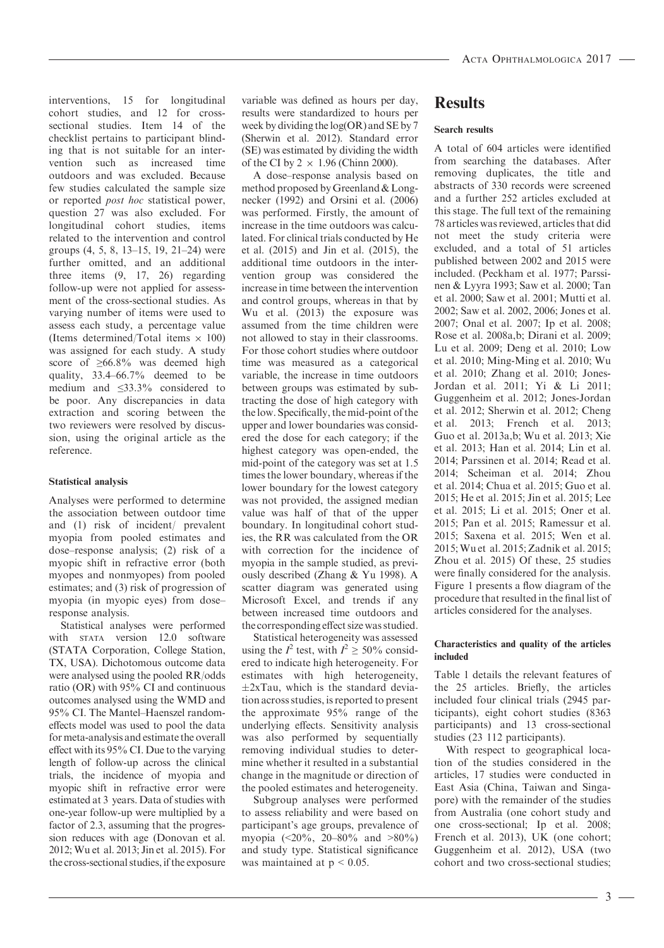interventions, 15 for longitudinal cohort studies, and 12 for crosssectional studies. Item 14 of the checklist pertains to participant blinding that is not suitable for an intervention such as increased time outdoors and was excluded. Because few studies calculated the sample size or reported post hoc statistical power, question 27 was also excluded. For longitudinal cohort studies, items related to the intervention and control groups (4, 5, 8, 13–15, 19, 21–24) were further omitted, and an additional three items (9, 17, 26) regarding follow-up were not applied for assessment of the cross-sectional studies. As varying number of items were used to assess each study, a percentage value (Items determined/Total items  $\times$  100) was assigned for each study. A study score of ≥66.8% was deemed high quality, 33.4–66.7% deemed to be medium and ≤33.3% considered to be poor. Any discrepancies in data extraction and scoring between the two reviewers were resolved by discussion, using the original article as the reference.

### Statistical analysis

Analyses were performed to determine the association between outdoor time and (1) risk of incident/ prevalent myopia from pooled estimates and dose–response analysis; (2) risk of a myopic shift in refractive error (both myopes and nonmyopes) from pooled estimates; and (3) risk of progression of myopia (in myopic eyes) from dose– response analysis.

Statistical analyses were performed with STATA version 12.0 software (STATA Corporation, College Station, TX, USA). Dichotomous outcome data were analysed using the pooled RR/odds ratio (OR) with 95% CI and continuous outcomes analysed using the WMD and 95% CI. The Mantel–Haenszel randomeffects model was used to pool the data for meta-analysis and estimate the overall effect with its 95% CI. Due to the varying length of follow-up across the clinical trials, the incidence of myopia and myopic shift in refractive error were estimated at 3 years. Data of studies with one-year follow-up were multiplied by a factor of 2.3, assuming that the progression reduces with age (Donovan et al. 2012; Wu et al. 2013; Jin et al. 2015). For the cross-sectional studies, if the exposure variable was defined as hours per day, results were standardized to hours per week by dividing the log(OR) and SE by 7 (Sherwin et al. 2012). Standard error (SE) was estimated by dividing the width of the CI by  $2 \times 1.96$  (Chinn 2000).

A dose–response analysis based on method proposed by Greenland & Longnecker (1992) and Orsini et al. (2006) was performed. Firstly, the amount of increase in the time outdoors was calculated. For clinical trials conducted by He et al. (2015) and Jin et al. (2015), the additional time outdoors in the intervention group was considered the increase in time between the intervention and control groups, whereas in that by Wu et al. (2013) the exposure was assumed from the time children were not allowed to stay in their classrooms. For those cohort studies where outdoor time was measured as a categorical variable, the increase in time outdoors between groups was estimated by subtracting the dose of high category with the low. Specifically, the mid-point of the upper and lower boundaries was considered the dose for each category; if the highest category was open-ended, the mid-point of the category was set at 1.5 times the lower boundary, whereas if the lower boundary for the lowest category was not provided, the assigned median value was half of that of the upper boundary. In longitudinal cohort studies, the RR was calculated from the OR with correction for the incidence of myopia in the sample studied, as previously described (Zhang & Yu 1998). A scatter diagram was generated using Microsoft Excel, and trends if any between increased time outdoors and the corresponding effect size was studied.

Statistical heterogeneity was assessed using the  $I^2$  test, with  $I^2 \ge 50\%$  considered to indicate high heterogeneity. For estimates with high heterogeneity,  $\pm 2x$ Tau, which is the standard deviation across studies, is reported to present the approximate 95% range of the underlying effects. Sensitivity analysis was also performed by sequentially removing individual studies to determine whether it resulted in a substantial change in the magnitude or direction of the pooled estimates and heterogeneity.

Subgroup analyses were performed to assess reliability and were based on participant's age groups, prevalence of myopia (<20%, 20–80% and >80%) and study type. Statistical significance was maintained at  $p < 0.05$ .

# Results

### Search results

A total of 604 articles were identified from searching the databases. After removing duplicates, the title and abstracts of 330 records were screened and a further 252 articles excluded at this stage. The full text of the remaining 78 articles was reviewed, articles that did not meet the study criteria were excluded, and a total of 51 articles published between 2002 and 2015 were included. (Peckham et al. 1977; Parssinen & Lyyra 1993; Saw et al. 2000; Tan et al. 2000; Saw et al. 2001; Mutti et al. 2002; Saw et al. 2002, 2006; Jones et al. 2007; Onal et al. 2007; Ip et al. 2008; Rose et al. 2008a,b; Dirani et al. 2009; Lu et al. 2009; Deng et al. 2010; Low et al. 2010; Ming-Ming et al. 2010; Wu et al. 2010; Zhang et al. 2010; Jones-Jordan et al. 2011; Yi & Li 2011; Guggenheim et al. 2012; Jones-Jordan et al. 2012; Sherwin et al. 2012; Cheng et al. 2013; French et al. 2013; Guo et al. 2013a,b; Wu et al. 2013; Xie et al. 2013; Han et al. 2014; Lin et al. 2014; Parssinen et al. 2014; Read et al. 2014; Scheiman et al. 2014; Zhou et al. 2014; Chua et al. 2015; Guo et al. 2015; He et al. 2015; Jin et al. 2015; Lee et al. 2015; Li et al. 2015; Oner et al. 2015; Pan et al. 2015; Ramessur et al. 2015; Saxena et al. 2015; Wen et al. 2015;Wu et al. 2015; Zadnik et al. 2015; Zhou et al. 2015) Of these, 25 studies were finally considered for the analysis. Figure 1 presents a flow diagram of the procedure that resulted in the final list of articles considered for the analyses.

### Characteristics and quality of the articles included

Table 1 details the relevant features of the 25 articles. Briefly, the articles included four clinical trials (2945 participants), eight cohort studies (8363 participants) and 13 cross-sectional studies (23 112 participants).

With respect to geographical location of the studies considered in the articles, 17 studies were conducted in East Asia (China, Taiwan and Singapore) with the remainder of the studies from Australia (one cohort study and one cross-sectional; Ip et al. 2008; French et al. 2013), UK (one cohort; Guggenheim et al. 2012), USA (two cohort and two cross-sectional studies;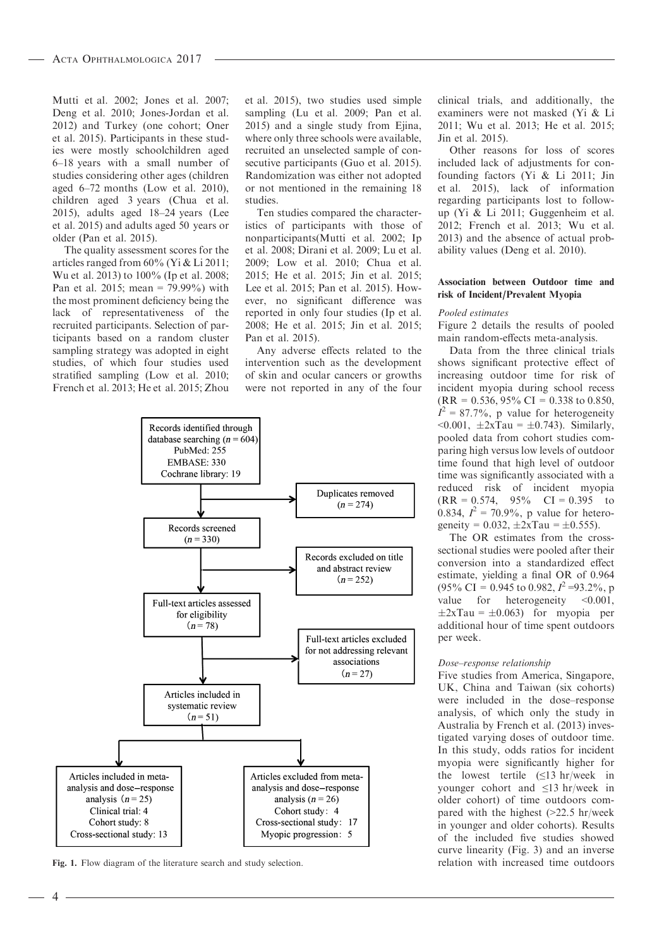Mutti et al. 2002; Jones et al. 2007; Deng et al. 2010; Jones-Jordan et al. 2012) and Turkey (one cohort; Oner et al. 2015). Participants in these studies were mostly schoolchildren aged 6–18 years with a small number of studies considering other ages (children aged 6–72 months (Low et al. 2010), children aged 3 years (Chua et al. 2015), adults aged 18–24 years (Lee et al. 2015) and adults aged 50 years or older (Pan et al. 2015).

The quality assessment scores for the articles ranged from 60% (Yi & Li 2011; Wu et al. 2013) to 100% (Ip et al. 2008; Pan et al. 2015; mean = 79.99%) with the most prominent deficiency being the lack of representativeness of the recruited participants. Selection of participants based on a random cluster sampling strategy was adopted in eight studies, of which four studies used stratified sampling (Low et al. 2010; French et al. 2013; He et al. 2015; Zhou et al. 2015), two studies used simple sampling (Lu et al. 2009; Pan et al. 2015) and a single study from Ejina, where only three schools were available, recruited an unselected sample of consecutive participants (Guo et al. 2015). Randomization was either not adopted or not mentioned in the remaining 18 studies.

Ten studies compared the characteristics of participants with those of nonparticipants(Mutti et al. 2002; Ip et al. 2008; Dirani et al. 2009; Lu et al. 2009; Low et al. 2010; Chua et al. 2015; He et al. 2015; Jin et al. 2015; Lee et al. 2015; Pan et al. 2015). However, no significant difference was reported in only four studies (Ip et al. 2008; He et al. 2015; Jin et al. 2015; Pan et al. 2015).

Any adverse effects related to the intervention such as the development of skin and ocular cancers or growths were not reported in any of the four



Fig. 1. Flow diagram of the literature search and study selection. The relation with increased time outdoors

clinical trials, and additionally, the examiners were not masked (Yi & Li 2011; Wu et al. 2013; He et al. 2015; Jin et al. 2015).

Other reasons for loss of scores included lack of adjustments for confounding factors (Yi & Li 2011; Jin et al. 2015), lack of information regarding participants lost to followup (Yi & Li 2011; Guggenheim et al. 2012; French et al. 2013; Wu et al. 2013) and the absence of actual probability values (Deng et al. 2010).

#### Association between Outdoor time and risk of Incident/Prevalent Myopia

### Pooled estimates

Figure 2 details the results of pooled main random-effects meta-analysis.

Data from the three clinical trials shows significant protective effect of increasing outdoor time for risk of incident myopia during school recess  $(RR = 0.536, 95\% \text{ CI} = 0.338 \text{ to } 0.850,$  $I^2 = 87.7\%$ , p value for heterogeneity  $< 0.001, \pm 2x$ Tau =  $\pm 0.743$ ). Similarly, pooled data from cohort studies comparing high versus low levels of outdoor time found that high level of outdoor time was significantly associated with a reduced risk of incident myopia  $(RR = 0.574, 95\% \text{ CI} = 0.395 \text{ to}$ 0.834,  $I^2 = 70.9\%$ , p value for heterogeneity =  $0.032$ ,  $\pm 2x$ Tau =  $\pm 0.555$ ).

The OR estimates from the crosssectional studies were pooled after their conversion into a standardized effect estimate, yielding a final OR of 0.964  $(95\% \text{ CI} = 0.945 \text{ to } 0.982, I^2 = 93.2\%, p$ value for heterogeneity <0.001,  $\pm 2x$ Tau =  $\pm 0.063$ ) for myopia per additional hour of time spent outdoors per week.

#### Dose–response relationship

Five studies from America, Singapore, UK, China and Taiwan (six cohorts) were included in the dose–response analysis, of which only the study in Australia by French et al. (2013) investigated varying doses of outdoor time. In this study, odds ratios for incident myopia were significantly higher for the lowest tertile  $(\leq 13 \text{ hr/week in})$ younger cohort and ≤13 hr/week in older cohort) of time outdoors compared with the highest (>22.5 hr/week in younger and older cohorts). Results of the included five studies showed curve linearity (Fig. 3) and an inverse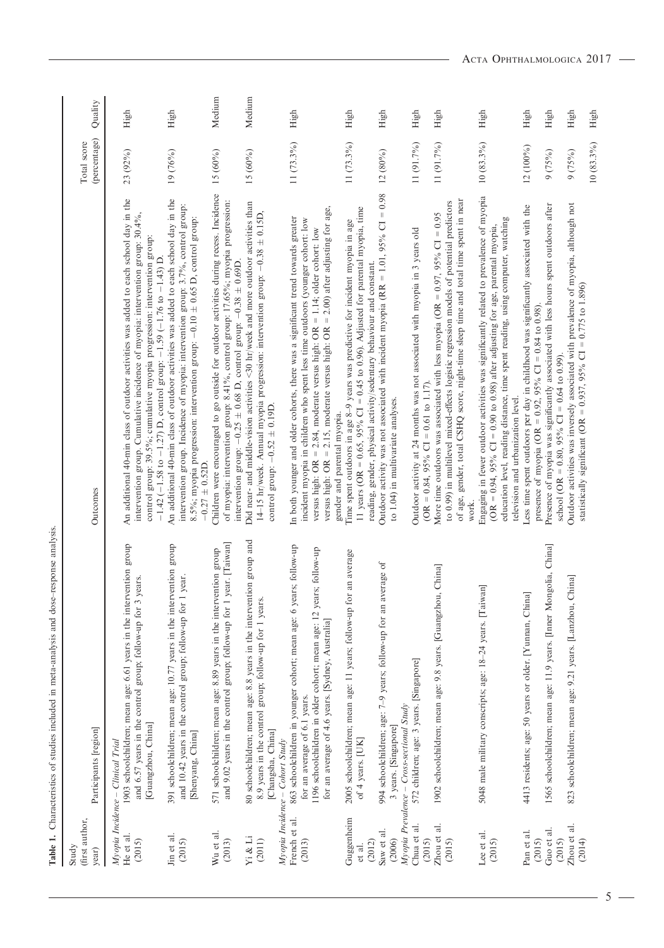| (first author,<br>Study<br>year) | Participants [region]                                                                                                                                                                                                                                           | Outcomes                                                                                                                                                                                                                                                                                                                                | (percentage)<br>Total score | Quality |
|----------------------------------|-----------------------------------------------------------------------------------------------------------------------------------------------------------------------------------------------------------------------------------------------------------------|-----------------------------------------------------------------------------------------------------------------------------------------------------------------------------------------------------------------------------------------------------------------------------------------------------------------------------------------|-----------------------------|---------|
| He et al.<br>(2015)              | 1903 schoolchildren; mean age: 6.61 years in the intervention group<br>and 6.57 years in the control group; follow-up for 3 years.<br>[Guangzhou, China]<br>Myopia Incidence - Clinical Trial                                                                   | An additional 40-min class of outdoor activities was added to each school day in the<br>intervention group. Cumulative incidence of myopia: intervention group: 30.4%,<br>control group: 39.5%; cumulative myopia progression: intervention group:<br>$-1.42$ ( $-1.58$ to $-1.27$ ) D, control group: $-1.59$ ( $-1.76$ to $-1.43$ ) D | 23 (92%)                    | High    |
| Jin et al.<br>(2015)             | 391 schoolchildren; mean age: 10.77 years in the intervention group<br>and 10.42 years in the control group; follow-up for 1 year.<br>[Shenyang, China]                                                                                                         | An additional 40-min class of outdoor activities was added to each school day in the<br>intervention group. Incidence of myopia: intervention group: 3.7%, control group:<br>8.5%; myopia progression: intervention group: $-0.10 \pm 0.65$ D, control group:<br>$-0.27 \pm 0.52D$ .                                                    | 19 (76%)                    | High    |
| Wu et al.<br>(2013)              | and 9.02 years in the control group; follow-up for 1 year. [Taiwan]<br>571 schoolchildren; mean age: 8.89 years in the intervention group                                                                                                                       | Children were encouraged to go outside for outdoor activities during recess. Incidence<br>of myopia: intervention group: 8.41%, control group: 17.65%; myopia progression:<br>intervention group: $-0.25 \pm 0.68$ D, control group: $-0.38 \pm 0.69$ D.                                                                                | 15(60%)                     | Medium  |
| Yi & Li<br>(2011)                | 80 schoolchildren; mean age: 8.8 years in the intervention group and<br>8.9 years in the control group; follow-up for 1 years.<br>[Changsha, China]                                                                                                             | Did near- and middle-vision activities <30 hr/week and more outdoor activities than<br>14–15 hr/week. Annual myopia progression: intervention group: $-0.38 \pm 0.15D$ ,<br>control group: $-0.52 \pm 0.19$ D.                                                                                                                          | 15 (60%)                    | Medium  |
| French et al.<br>(2013)          | 863 schoolchildren in younger cohort; mean age: 6 years; follow-up<br>1196 schoolchildren in older cohort; mean age: 12 years; follow-up<br>for an average of 4.6 years. [Sydney, Australia]<br>for an average of 6.1 years.<br>Myopia Incidence - Cohort Study | versus high: OR = 2.15, moderate versus high: OR = 2.00) after adjusting for age,<br>In both younger and older cohorts, there was a significant trend towards greater<br>incident myopia in children who spent less time outdoors (younger cohort: low<br>versus high: OR = 2.84, moderate versus high: OR = 1.14; older cohort: low    | $11(73.3\%)$                | High    |
| Guggenheim<br>et al.             | 2005 schoolchildren; mean age: 11 years; follow-up for an average<br>of 4 years. [UK]                                                                                                                                                                           | 11 years (OR = $0.65$ , $95\%$ CI = 0.45 to 0.96). Adjusted for parental myopia, time<br>Time spent outdoors in age 8-9 years was predictive for incident myopia in age<br>gender and parental myopia.                                                                                                                                  | 11 (73.3%)                  | High    |
| Saw et al.<br>(2012)<br>(2006)   | 994 schoolchildren; age: 7-9 years; follow-up for an average of<br>3 years. [Singapore]                                                                                                                                                                         | Outdoor activity was not associated with incident myopia (RR = 1.01, 95% CI = $0.98$<br>reading, gender, physical activity/sedentary behaviour and constant.<br>to 1.04) in multivariate analyses.                                                                                                                                      | 12 (80%)                    | High    |
| Chua et al.<br>(2015)            | 572 children; age: 3 years. [Singapore]<br>Myopia Prevalence - Cross-sectional Study                                                                                                                                                                            | Outdoor activity at 24 months was not associated with myopia in 3 years old<br>(OR = 0.84, 95% CI = 0.61 to 1.17).                                                                                                                                                                                                                      | 11 (91.7%)                  | High    |
| Zhou et al.<br>(2015)            | China<br>1902 schoolchildren; mean age: 9.8 years. [Guangzhou,                                                                                                                                                                                                  | of age, gender, total CSHQ score, night-time sleep time and total time spent in near<br>to 0.99) in multilevel mixed-effects logistic regression models of potential predictors<br>More time outdoors was associated with less myopia (OR = $0.97$ , $95\%$ CI = $0.95$<br>work.                                                        | 11 (91.7%)                  | High    |
| Lee et al.<br>(2015)             | 5048 male military conscripts; age: 18-24 years. [Taiwan]                                                                                                                                                                                                       | Engaging in fewer outdoor activities was significantly related to prevalence of myopia<br>education level, reading distance, time spent reading, using computer, watching<br>(OR = $0.94$ , 95% CI = 0.90 to 0.98) after adjusting for age, parental myopia,<br>television and urbanization level.                                      | $10(83.3\%)$                | High    |
| Pan et al.<br>(2015)             | 4413 residents; age: 50 years or older. [Yunnan, China]                                                                                                                                                                                                         | Less time spent outdoors per day in childhood was significantly associated with the<br>presence of myopia (OR = $0.92$ , 95% CI = $0.84$ to 0.98).                                                                                                                                                                                      | 12 (100%)                   | High    |
| Guo et al.<br>(2015)             | 1565 schoolchildren; mean age: 11.9 years. [Inner Mongolia, China]                                                                                                                                                                                              | Presence of myopia was significantly associated with less hours spent outdoors after<br>school (OR = $0.80$ , $95\%$ CI = $0.64$ to 0.99).                                                                                                                                                                                              | 9(75%)                      | High    |
| Zhou et al.<br>(2014)            | 823 schoolchildren; mean age: 9.21 years. [Lanzhou, China]                                                                                                                                                                                                      | Outdoor activities was inversely associated with prevalence of myopia, although not<br>statistically significant (OR = $0.937$ , $95\%$ CI = $0.775$ to 1.896)                                                                                                                                                                          | 9(75%)                      | High    |
|                                  |                                                                                                                                                                                                                                                                 |                                                                                                                                                                                                                                                                                                                                         | $10(83.3\%)$                | High    |

Table 1. Characteristics of studies included in meta-analysis and dose–response analysis.

Table 1. Characteristics of studies included in meta-analysis and dose-response analysis.

 $\overline{\phantom{0}}$  5 –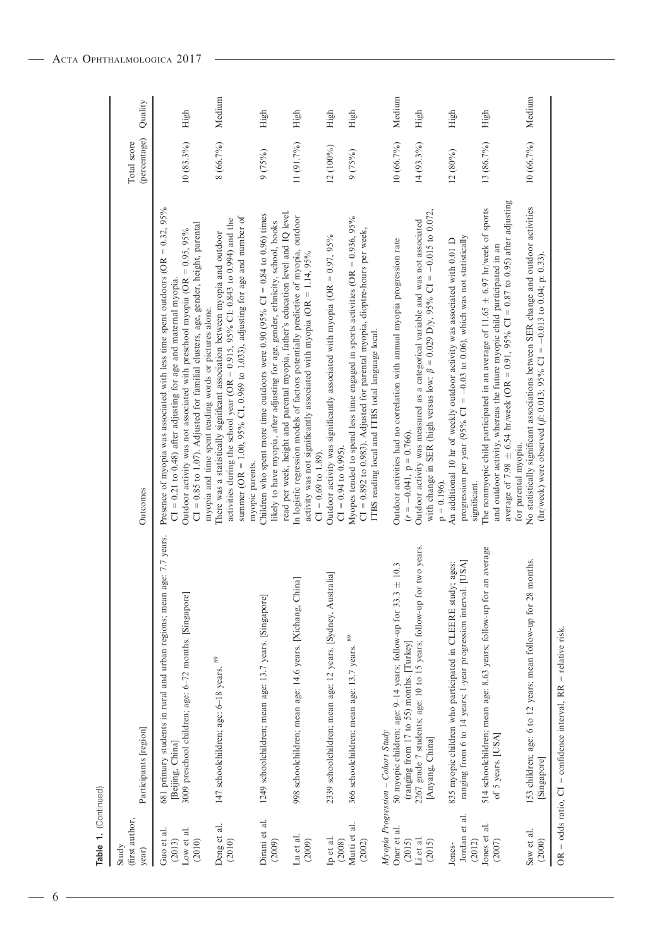| Table 1. (Continued)                         |                                                                                                                                                         |                                                                                                                                                                                                                                                                                                                           |                             |         |
|----------------------------------------------|---------------------------------------------------------------------------------------------------------------------------------------------------------|---------------------------------------------------------------------------------------------------------------------------------------------------------------------------------------------------------------------------------------------------------------------------------------------------------------------------|-----------------------------|---------|
| (first author,<br>Study<br>year)             | Participants [region]                                                                                                                                   | Outcomes                                                                                                                                                                                                                                                                                                                  | (percentage)<br>Total score | Quality |
| Guo et al.<br>Low et al.<br>(2013)<br>(2010) | ge: 7.7 years.<br>681 primary students in rural and urban regions; mean a<br>3009 preschool children; age: 6-72 months. [Singapore]<br>[Beijing, China] | Presence of myopia was associated with less time spent outdoors (OR = $0.32$ , 95%<br>CI = 0.85 to 1.07). Adjusted for familial clusters, age, gender, height, parental<br>Outdoor activity was not associated with preschool myopia (OR = 0.95, 95%<br>$CI = 0.21$ to 0.48) after adjusting for age and maternal myopia. | $10(83.3\%)$                | High    |
| Deng et al.<br>(2010)                        | 147 schoolchildren; age: 6-18 years. 89                                                                                                                 | summer (OR = 1.00, 95% CI, 0.969 to 1.033), adjusting for age and number of<br>activities during the school year (OR = $0.915$ , 95% CI: 0.843 to 0.994) and the<br>There was a statistically significant association between myopia and outdoor<br>myopia and time spent reading words or pictures alone.                | 8 (66.7%)                   | Medium  |
| Dirani et al.<br>(2009)                      | 1249 schoolchildren; mean age: 13.7 years. [Singapore]                                                                                                  | Children who spent more time outdoors were $0.90$ (95% CI = 0.84 to 0.96) times<br>likely to have myopia, after adjusting for age, gender, ethnicity, school, books<br>myopic parents.                                                                                                                                    | 9(75%)                      | High    |
| Lu et al.<br>(2009)                          | 998 schoolchildren; mean age: 14.6 years. [Xichang, China]                                                                                              | read per week, height and parental myopia, father's education level and IQ level.<br>In logistic regression models of factors potentially predictive of myopia, outdoor<br>activity was not significantly associated with myopia (OR = 1.14, 95%<br>$CI = 0.69$ to $1.89$ ).                                              | 11 (91.7%)                  | High    |
| Ip et al.<br>(2008)                          | 2339 schoolchildren; mean age: 12 years. [Sydney, Australia]                                                                                            | Outdoor activity was significantly associated with myopia (OR = $0.97$ , $95\%$<br>$CI = 0.94$ to 0.995).                                                                                                                                                                                                                 | 12 (100%)                   | High    |
| Mutti et al.<br>(2002)                       | 366 schoolchildren; mean age: 13.7 years. 89                                                                                                            | Myopes tended to spend less time engaged in sports activities (OR = $0.936$ , $95\%$<br>CI = 0.892 to 0.983). Adjusted for parental myopia, dioptre-hours per week,<br>ITBS reading local and ITBS total language local.                                                                                                  | 9(75%)                      | High    |
| Oner et al.                                  | $\pm 10.3$<br>50 myopic children; age: 9-14 years; follow-up for 33.3<br>Myopia Progression - Cohort Study                                              | Outdoor activities had no correlation with annual myopia progression rate                                                                                                                                                                                                                                                 | 10 (66.7%)                  | Medium  |
| Li et al.<br>(2015)<br>(2015)                | two years.<br>2267 grade 7 students; age: 10 to 15 years; follow-up for<br>(ranging from 17 to 55) months. [Turkey]<br>[Anyang, China]                  | with change in SER (high versus low: $\beta = 0.029$ D/y, 95% CI = -0.015 to 0.072,<br>Outdoor activity was measured as a categorical variable and was not associated<br>$(r = -0.041, p = 0.766).$<br>$p = 0.196$ .                                                                                                      | 14 (93.3%)                  | High    |
| Jordan et al.<br>(2012)<br>Jones-            | [USA]<br>835 myopic children who participated in CLEERE study; ages:<br>ranging from 6 to 14 years; 1-year progression interval.                        | progression per year (95% CI = $-0.03$ to 0.06), which was not statistically<br>An additional 10 hr of weekly outdoor activity was associated with 0.01 D<br>significant.                                                                                                                                                 | $12(80\%)$                  | High    |
| Jones et al.<br>(2007)                       | 514 schoolchildren; mean age: 8.63 years; follow-up for an average<br>of 5 years. [USA]                                                                 | average of 7.98 $\pm$ 6.54 hr/week (OR = 0.91, 95% CI = 0.87 to 0.95) after adjusting<br>The nonmyopic child participated in an average of 11.65 $\pm$ 6.97 hr/week of sports<br>and outdoor activity, whereas the future myopic child participated in an<br>for parental myopia.                                         | 13 (86.7%)                  | High    |
| Saw et al.<br>(2000)                         | months.<br>153 children; age: 6 to 12 years; mean follow-up for 28<br>[Singapore]                                                                       | No statistically significant associations between SER change and outdoor activities<br>(hr/week) were observed ( $\beta$ : 0.013; 95% CI = -0.013 to 0.04; p: 0.33).                                                                                                                                                      | 10 (66.7%)                  | Medium  |
|                                              | $OR = odds ratio, CI = confidence interval, RR = relative risk$                                                                                         |                                                                                                                                                                                                                                                                                                                           |                             |         |

 $-6 -$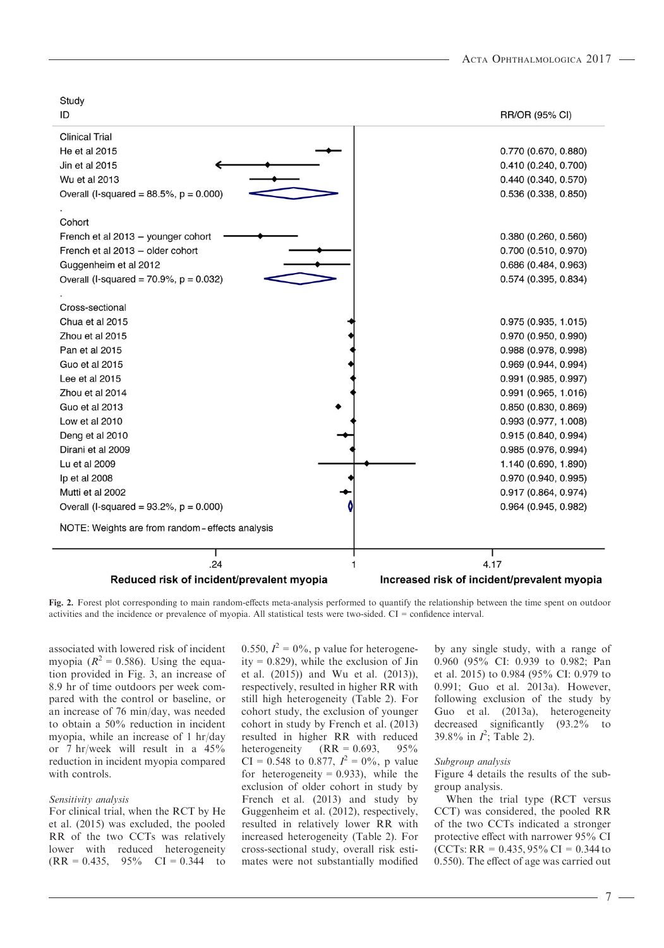| Study                                          |                                             |
|------------------------------------------------|---------------------------------------------|
| ID                                             | RR/OR (95% CI)                              |
| <b>Clinical Trial</b>                          |                                             |
| He et al 2015                                  | 0.770 (0.670, 0.880)                        |
| Jin et al 2015                                 | 0.410 (0.240, 0.700)                        |
| Wu et al 2013                                  | 0.440(0.340, 0.570)                         |
| Overall (I-squared = $88.5\%$ , $p = 0.000$ )  | 0.536 (0.338, 0.850)                        |
|                                                |                                             |
| Cohort                                         |                                             |
| French et al 2013 - younger cohort             | 0.380(0.260, 0.560)                         |
| French et al 2013 - older cohort               | 0.700 (0.510, 0.970)                        |
| Guggenheim et al 2012                          | 0.686(0.484, 0.963)                         |
| Overall (I-squared = $70.9\%$ , $p = 0.032$ )  | $0.574$ (0.395, 0.834)                      |
|                                                |                                             |
| Cross-sectional                                |                                             |
| Chua et al 2015                                | 0.975(0.935, 1.015)                         |
| Zhou et al 2015                                | 0.970 (0.950, 0.990)                        |
| Pan et al 2015                                 | 0.988 (0.978, 0.998)                        |
| Guo et al 2015                                 | 0.969 (0.944, 0.994)                        |
| Lee et al 2015                                 | $0.991$ (0.985, 0.997)                      |
| Zhou et al 2014                                | 0.991 (0.965, 1.016)                        |
| Guo et al 2013                                 | 0.850(0.830, 0.869)                         |
| Low et al 2010                                 | 0.993(0.977, 1.008)                         |
| Deng et al 2010                                | 0.915(0.840, 0.994)                         |
| Dirani et al 2009                              | 0.985(0.976, 0.994)                         |
| Lu et al 2009                                  | 1.140 (0.690, 1.890)                        |
| lp et al 2008                                  | 0.970 (0.940, 0.995)                        |
| Mutti et al 2002                               | 0.917 (0.864, 0.974)                        |
| Overall (I-squared = $93.2\%$ , $p = 0.000$ )  | 0.964 (0.945, 0.982)                        |
| NOTE: Weights are from random-effects analysis |                                             |
| .24                                            | 4.17                                        |
| Reduced risk of incident/prevalent myopia      | Increased risk of incident/prevalent myopia |
|                                                |                                             |

Fig. 2. Forest plot corresponding to main random-effects meta-analysis performed to quantify the relationship between the time spent on outdoor activities and the incidence or prevalence of myopia. All statistical tests were two-sided. CI = confidence interval.

associated with lowered risk of incident myopia ( $R^2 = 0.586$ ). Using the equation provided in Fig. 3, an increase of 8.9 hr of time outdoors per week compared with the control or baseline, or an increase of 76 min/day, was needed to obtain a 50% reduction in incident myopia, while an increase of 1 hr/day or 7 hr/week will result in a 45% reduction in incident myopia compared with controls.

#### Sensitivity analysis

For clinical trial, when the RCT by He et al. (2015) was excluded, the pooled RR of the two CCTs was relatively lower with reduced heterogeneity  $(RR = 0.435, 95\% \text{ CI} = 0.344 \text{ to}$ 

0.550,  $I^2 = 0\%$ , p value for heterogeneity =  $0.829$ ), while the exclusion of Jin et al. (2015)) and Wu et al. (2013)), respectively, resulted in higher RR with still high heterogeneity (Table 2). For cohort study, the exclusion of younger cohort in study by French et al. (2013) resulted in higher RR with reduced heterogeneity  $(RR = 0.693, 95\%$ CI = 0.548 to 0.877,  $I^2 = 0\%$ , p value for heterogeneity =  $0.933$ ), while the exclusion of older cohort in study by French et al. (2013) and study by Guggenheim et al. (2012), respectively, resulted in relatively lower RR with increased heterogeneity (Table 2). For cross-sectional study, overall risk estimates were not substantially modified

by any single study, with a range of 0.960 (95% CI: 0.939 to 0.982; Pan et al. 2015) to 0.984 (95% CI: 0.979 to 0.991; Guo et al. 2013a). However, following exclusion of the study by Guo et al. (2013a), heterogeneity decreased significantly (93.2% to 39.8% in  $I^2$ ; Table 2).

#### Subgroup analysis

Figure 4 details the results of the subgroup analysis.

When the trial type (RCT versus CCT) was considered, the pooled RR of the two CCTs indicated a stronger protective effect with narrower 95% CI (CCTs: RR =  $0.435,95\%$  CI =  $0.344$  to 0.550). The effect of age was carried out

- 7 -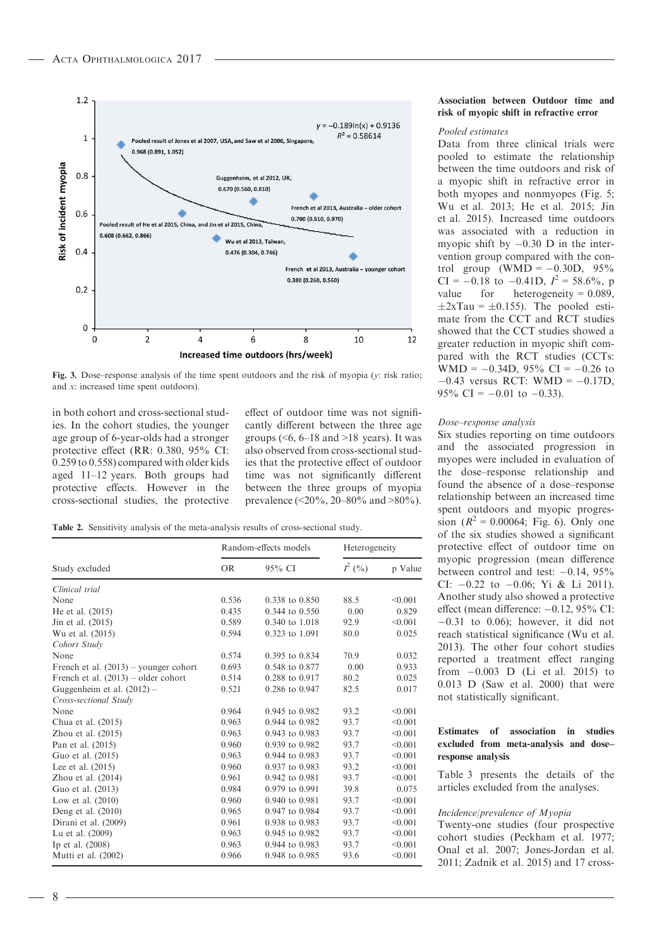

Fig. 3. Dose–response analysis of the time spent outdoors and the risk of myopia (y: risk ratio; and x: increased time spent outdoors).

in both cohort and cross-sectional studies. In the cohort studies, the younger age group of 6-year-olds had a stronger protective effect (RR: 0.380, 95% CI: 0.259 to 0.558) compared with older kids aged 11–12 years. Both groups had protective effects. However in the cross-sectional studies, the protective effect of outdoor time was not significantly different between the three age groups  $( $6, 6-18$  and  $>18$  years). It was$ also observed from cross-sectional studies that the protective effect of outdoor time was not significantly different between the three groups of myopia prevalence (<20%, 20–80% and >80%).

Table 2. Sensitivity analysis of the meta-analysis results of cross-sectional study.

|                                         |       | Random-effects models | Heterogeneity |         |
|-----------------------------------------|-------|-----------------------|---------------|---------|
| Study excluded                          | OR.   | $95\%$ CI             | $I^2($ %)     | p Value |
| Clinical trial                          |       |                       |               |         |
| None                                    | 0.536 | 0.338 to 0.850        | 88.5          | < 0.001 |
| He et al. $(2015)$                      | 0.435 | 0.344 to 0.550        | 0.00          | 0.829   |
| Jin et al. (2015)                       | 0.589 | 0.340 to 1.018        | 92.9          | < 0.001 |
| Wu et al. (2015)                        | 0.594 | 0.323 to 1.091        | 80.0          | 0.025   |
| Cohort Study                            |       |                       |               |         |
| None                                    | 0.574 | $0.395$ to $0.834$    | 70.9          | 0.032   |
| French et al. $(2013)$ – younger cohort | 0.693 | 0.548 to 0.877        | 0.00          | 0.933   |
| French et al. $(2013)$ – older cohort   | 0.514 | 0.288 to 0.917        | 80.2          | 0.025   |
| Guggenheim et al. (2012) -              | 0.521 | 0.286 to 0.947        | 82.5          | 0.017   |
| Cross-sectional Study                   |       |                       |               |         |
| None                                    | 0.964 | 0.945 to 0.982        | 93.2          | < 0.001 |
| Chua et al. (2015)                      | 0.963 | 0.944 to 0.982        | 93.7          | < 0.001 |
| Zhou et al. $(2015)$                    | 0.963 | 0.943 to 0.983        | 93.7          | < 0.001 |
| Pan et al. (2015)                       | 0.960 | 0.939 to 0.982        | 93.7          | < 0.001 |
| Guo et al. (2015)                       | 0.963 | 0.944 to 0.983        | 93.7          | < 0.001 |
| Lee et al. $(2015)$                     | 0.960 | 0.937 to 0.983        | 93.2          | < 0.001 |
| Zhou et al. $(2014)$                    | 0.961 | 0.942 to 0.981        | 93.7          | < 0.001 |
| Guo et al. (2013)                       | 0.984 | 0.979 to 0.991        | 39.8          | 0.075   |
| Low et al. $(2010)$                     | 0.960 | 0.940 to 0.981        | 93.7          | < 0.001 |
| Deng et al. $(2010)$                    | 0.965 | 0.947 to 0.984        | 93.7          | < 0.001 |
| Dirani et al. (2009)                    | 0.961 | 0.938 to 0.983        | 93.7          | < 0.001 |
| Lu et al. (2009)                        | 0.963 | 0.945 to 0.982        | 93.7          | < 0.001 |
| Ip et al. (2008)                        | 0.963 | 0.944 to 0.983        | 93.7          | < 0.001 |
| Mutti et al. (2002)                     | 0.966 | 0.948 to 0.985        | 93.6          | < 0.001 |

#### Association between Outdoor time and risk of myopic shift in refractive error

#### Pooled estimates

Data from three clinical trials were pooled to estimate the relationship between the time outdoors and risk of a myopic shift in refractive error in both myopes and nonmyopes (Fig. 5; Wu et al. 2013; He et al. 2015; Jin et al. 2015). Increased time outdoors was associated with a reduction in myopic shift by  $-0.30$  D in the intervention group compared with the control group (WMD =  $-0.30D$ , 95% CI =  $-0.18$  to  $-0.41D$ ,  $I^2 = 58.6\%$ , p value for heterogeneity =  $0.089$ ,  $\pm 2x\text{Tau} = \pm 0.155$ ). The pooled estimate from the CCT and RCT studies showed that the CCT studies showed a greater reduction in myopic shift compared with the RCT studies (CCTs: WMD =  $-0.34D$ , 95% CI =  $-0.26$  to  $-0.43$  versus RCT: WMD =  $-0.17D$ , 95% CI =  $-0.01$  to  $-0.33$ ).

#### Dose–response analysis

Six studies reporting on time outdoors and the associated progression in myopes were included in evaluation of the dose–response relationship and found the absence of a dose–response relationship between an increased time spent outdoors and myopic progression  $(R^2 = 0.00064;$  Fig. 6). Only one of the six studies showed a significant protective effect of outdoor time on myopic progression (mean difference between control and test:  $-0.14$ , 95% CI:  $-0.22$  to  $-0.06$ ; Yi & Li 2011). Another study also showed a protective effect (mean difference:  $-0.12$ , 95% CI:  $-0.31$  to 0.06); however, it did not reach statistical significance (Wu et al. 2013). The other four cohort studies reported a treatment effect ranging from  $-0.003$  D (Li et al. 2015) to 0.013 D (Saw et al. 2000) that were not statistically significant.

### Estimates of association in studies excluded from meta-analysis and dose– response analysis

Table 3 presents the details of the articles excluded from the analyses.

#### Incidence/prevalence of Myopia

Twenty-one studies (four prospective cohort studies (Peckham et al. 1977; Onal et al. 2007; Jones-Jordan et al. 2011; Zadnik et al. 2015) and 17 cross-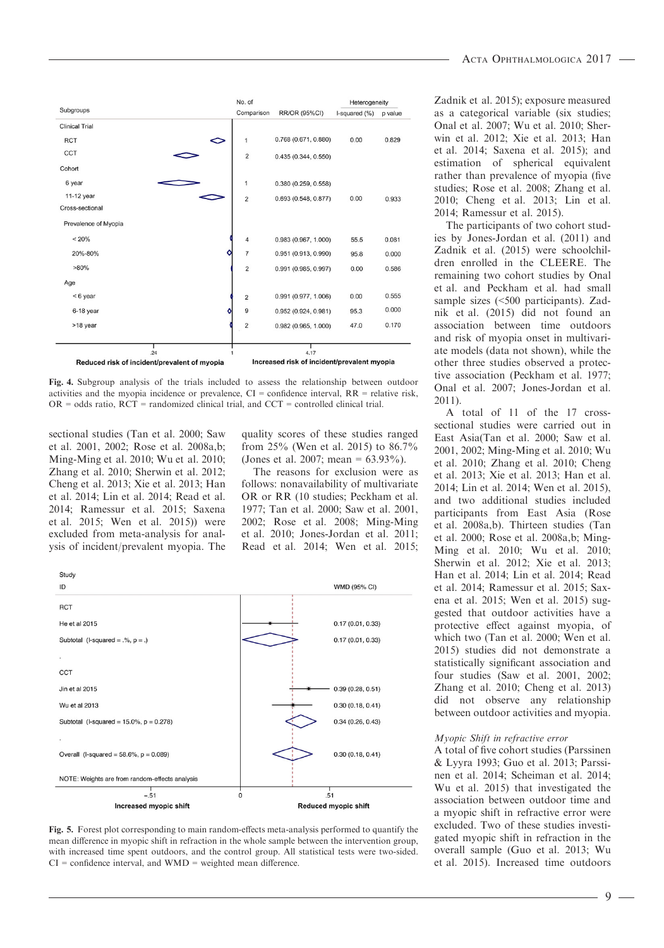|                       |                                              | No. of         |                                             | Heterogeneity |         |
|-----------------------|----------------------------------------------|----------------|---------------------------------------------|---------------|---------|
| Subgroups             |                                              | Comparison     | <b>RR/OR (95%CI)</b>                        | I-squared (%) | p value |
| <b>Clinical Trial</b> |                                              |                |                                             |               |         |
| <b>RCT</b>            | ⇔                                            | 1              | 0.768 (0.671, 0.880)                        | 0.00          | 0.829   |
| <b>CCT</b>            |                                              | $\overline{2}$ | 0.435(0.344, 0.550)                         |               |         |
| Cohort                |                                              |                |                                             |               |         |
| 6 year                |                                              | 1              | 0.380(0.259, 0.558)                         |               |         |
| 11-12 year            |                                              | $\overline{2}$ | 0.693(0.548, 0.877)                         | 0.00          | 0.933   |
| Cross-sectional       |                                              |                |                                             |               |         |
| Prevalence of Myopia  |                                              |                |                                             |               |         |
| < 20%                 |                                              | $\overline{4}$ | 0.983(0.967, 1.000)                         | 55.5          | 0.081   |
| 20%-80%               | o                                            | $\overline{7}$ | 0.951 (0.913, 0.990)                        | 95.8          | 0.000   |
| $>80\%$               |                                              | $\overline{2}$ | $0.991$ (0.985, 0.997)                      | 0.00          | 0.586   |
| Age                   |                                              |                |                                             |               |         |
| <6 year               |                                              | $\overline{2}$ | 0.991 (0.977, 1.006)                        | 0.00          | 0.555   |
| 6-18 year             | ٥                                            | 9              | 0.952(0.924, 0.981)                         | 95.3          | 0.000   |
| >18 year              |                                              | $\overline{2}$ | $0.982$ (0.965, 1.000)                      | 47.0          | 0.170   |
|                       | .24                                          |                | 4.17                                        |               |         |
|                       | Reduced risk of incident/prevalent of myopia |                | Increased risk of incident/prevalent myopia |               |         |

Fig. 4. Subgroup analysis of the trials included to assess the relationship between outdoor activities and the myopia incidence or prevalence, CI = confidence interval, RR = relative risk,  $OR = odds ratio, RCT = randomized clinical trial, and CCT = controlled clinical trial.$ 

sectional studies (Tan et al. 2000; Saw et al. 2001, 2002; Rose et al. 2008a,b; Ming-Ming et al. 2010; Wu et al. 2010; Zhang et al. 2010; Sherwin et al. 2012; Cheng et al. 2013; Xie et al. 2013; Han et al. 2014; Lin et al. 2014; Read et al. 2014; Ramessur et al. 2015; Saxena et al. 2015; Wen et al. 2015)) were excluded from meta-analysis for analysis of incident/prevalent myopia. The

quality scores of these studies ranged from 25% (Wen et al. 2015) to 86.7% (Jones et al. 2007; mean = 63.93%).

The reasons for exclusion were as follows: nonavailability of multivariate OR or RR (10 studies; Peckham et al. 1977; Tan et al. 2000; Saw et al. 2001, 2002; Rose et al. 2008; Ming-Ming et al. 2010; Jones-Jordan et al. 2011; Read et al. 2014; Wen et al. 2015;



Fig. 5. Forest plot corresponding to main random-effects meta-analysis performed to quantify the mean difference in myopic shift in refraction in the whole sample between the intervention group, with increased time spent outdoors, and the control group. All statistical tests were two-sided.  $CI =$  confidence interval, and  $WMD =$  weighted mean difference.

Zadnik et al. 2015); exposure measured as a categorical variable (six studies; Onal et al. 2007; Wu et al. 2010; Sherwin et al. 2012; Xie et al. 2013; Han et al. 2014; Saxena et al. 2015); and estimation of spherical equivalent rather than prevalence of myopia (five studies; Rose et al. 2008; Zhang et al. 2010; Cheng et al. 2013; Lin et al. 2014; Ramessur et al. 2015).

The participants of two cohort studies by Jones-Jordan et al. (2011) and Zadnik et al. (2015) were schoolchildren enrolled in the CLEERE. The remaining two cohort studies by Onal et al. and Peckham et al. had small sample sizes (<500 participants). Zadnik et al. (2015) did not found an association between time outdoors and risk of myopia onset in multivariate models (data not shown), while the other three studies observed a protective association (Peckham et al. 1977; Onal et al. 2007; Jones-Jordan et al. 2011).

A total of 11 of the 17 crosssectional studies were carried out in East Asia(Tan et al. 2000; Saw et al. 2001, 2002; Ming-Ming et al. 2010; Wu et al. 2010; Zhang et al. 2010; Cheng et al. 2013; Xie et al. 2013; Han et al. 2014; Lin et al. 2014; Wen et al. 2015), and two additional studies included participants from East Asia (Rose et al. 2008a,b). Thirteen studies (Tan et al. 2000; Rose et al. 2008a,b; Ming-Ming et al. 2010; Wu et al. 2010; Sherwin et al. 2012; Xie et al. 2013; Han et al. 2014; Lin et al. 2014; Read et al. 2014; Ramessur et al. 2015; Saxena et al. 2015; Wen et al. 2015) suggested that outdoor activities have a protective effect against myopia, of which two (Tan et al. 2000; Wen et al. 2015) studies did not demonstrate a statistically significant association and four studies (Saw et al. 2001, 2002; Zhang et al. 2010; Cheng et al. 2013) did not observe any relationship between outdoor activities and myopia.

#### Myopic Shift in refractive error

A total of five cohort studies (Parssinen & Lyyra 1993; Guo et al. 2013; Parssinen et al. 2014; Scheiman et al. 2014; Wu et al. 2015) that investigated the association between outdoor time and a myopic shift in refractive error were excluded. Two of these studies investigated myopic shift in refraction in the overall sample (Guo et al. 2013; Wu et al. 2015). Increased time outdoors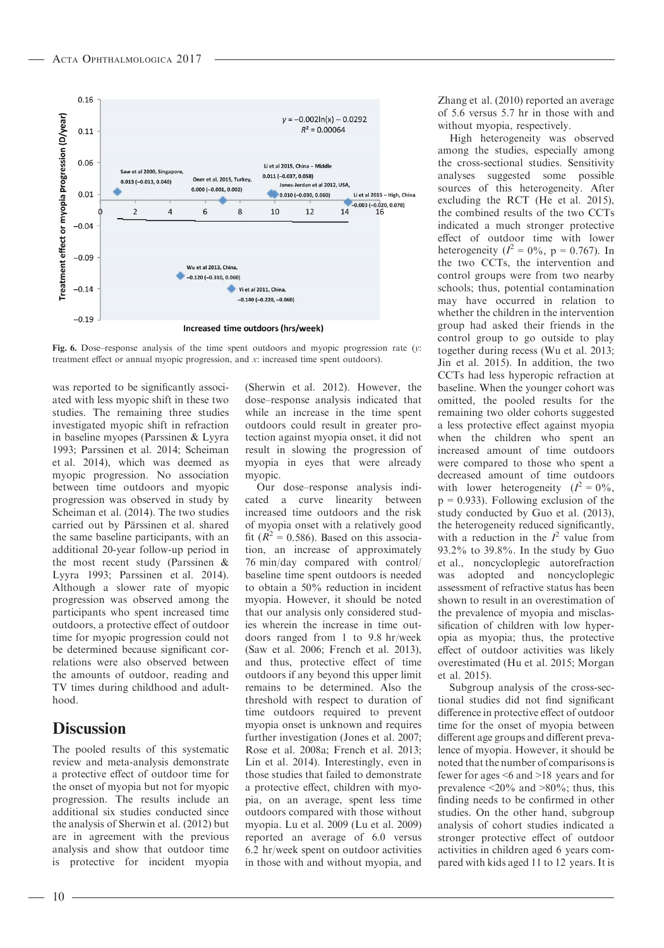

Fig. 6. Dose–response analysis of the time spent outdoors and myopic progression rate  $(y$ : treatment effect or annual myopic progression, and x: increased time spent outdoors).

was reported to be significantly associated with less myopic shift in these two studies. The remaining three studies investigated myopic shift in refraction in baseline myopes (Parssinen & Lyyra 1993; Parssinen et al. 2014; Scheiman et al. 2014), which was deemed as myopic progression. No association between time outdoors and myopic progression was observed in study by Scheiman et al. (2014). The two studies carried out by Pärssinen et al. shared the same baseline participants, with an additional 20-year follow-up period in the most recent study (Parssinen & Lyyra 1993; Parssinen et al. 2014). Although a slower rate of myopic progression was observed among the participants who spent increased time outdoors, a protective effect of outdoor time for myopic progression could not be determined because significant correlations were also observed between the amounts of outdoor, reading and TV times during childhood and adulthood.

# **Discussion**

The pooled results of this systematic review and meta-analysis demonstrate a protective effect of outdoor time for the onset of myopia but not for myopic progression. The results include an additional six studies conducted since the analysis of Sherwin et al. (2012) but are in agreement with the previous analysis and show that outdoor time is protective for incident myopia (Sherwin et al. 2012). However, the dose–response analysis indicated that while an increase in the time spent outdoors could result in greater protection against myopia onset, it did not result in slowing the progression of myopia in eyes that were already myopic.

Our dose–response analysis indicated a curve linearity between increased time outdoors and the risk of myopia onset with a relatively good fit ( $R^2$  = 0.586). Based on this association, an increase of approximately 76 min/day compared with control/ baseline time spent outdoors is needed to obtain a 50% reduction in incident myopia. However, it should be noted that our analysis only considered studies wherein the increase in time outdoors ranged from 1 to 9.8 hr/week (Saw et al. 2006; French et al. 2013), and thus, protective effect of time outdoors if any beyond this upper limit remains to be determined. Also the threshold with respect to duration of time outdoors required to prevent myopia onset is unknown and requires further investigation (Jones et al. 2007; Rose et al. 2008a; French et al. 2013; Lin et al. 2014). Interestingly, even in those studies that failed to demonstrate a protective effect, children with myopia, on an average, spent less time outdoors compared with those without myopia. Lu et al. 2009 (Lu et al. 2009) reported an average of 6.0 versus 6.2 hr/week spent on outdoor activities in those with and without myopia, and Zhang et al. (2010) reported an average of 5.6 versus 5.7 hr in those with and without myopia, respectively.

High heterogeneity was observed among the studies, especially among the cross-sectional studies. Sensitivity analyses suggested some possible sources of this heterogeneity. After excluding the RCT (He et al. 2015), the combined results of the two CCTs indicated a much stronger protective effect of outdoor time with lower heterogeneity ( $I^2 = 0\%$ , p = 0.767). In the two CCTs, the intervention and control groups were from two nearby schools; thus, potential contamination may have occurred in relation to whether the children in the intervention group had asked their friends in the control group to go outside to play together during recess (Wu et al. 2013; Jin et al. 2015). In addition, the two CCTs had less hyperopic refraction at baseline. When the younger cohort was omitted, the pooled results for the remaining two older cohorts suggested a less protective effect against myopia when the children who spent an increased amount of time outdoors were compared to those who spent a decreased amount of time outdoors with lower heterogeneity  $(I^2 = 0\%,$  $p = 0.933$ . Following exclusion of the study conducted by Guo et al. (2013), the heterogeneity reduced significantly, with a reduction in the  $I^2$  value from 93.2% to 39.8%. In the study by Guo et al., noncycloplegic autorefraction was adopted and noncycloplegic assessment of refractive status has been shown to result in an overestimation of the prevalence of myopia and misclassification of children with low hyperopia as myopia; thus, the protective effect of outdoor activities was likely overestimated (Hu et al. 2015; Morgan et al. 2015).

Subgroup analysis of the cross-sectional studies did not find significant difference in protective effect of outdoor time for the onset of myopia between different age groups and different prevalence of myopia. However, it should be noted that the number of comparisons is fewer for ages <6 and >18 years and for prevalence  $\langle 20\% \rangle$  and  $>80\%$ ; thus, this finding needs to be confirmed in other studies. On the other hand, subgroup analysis of cohort studies indicated a stronger protective effect of outdoor activities in children aged 6 years compared with kids aged 11 to 12 years. It is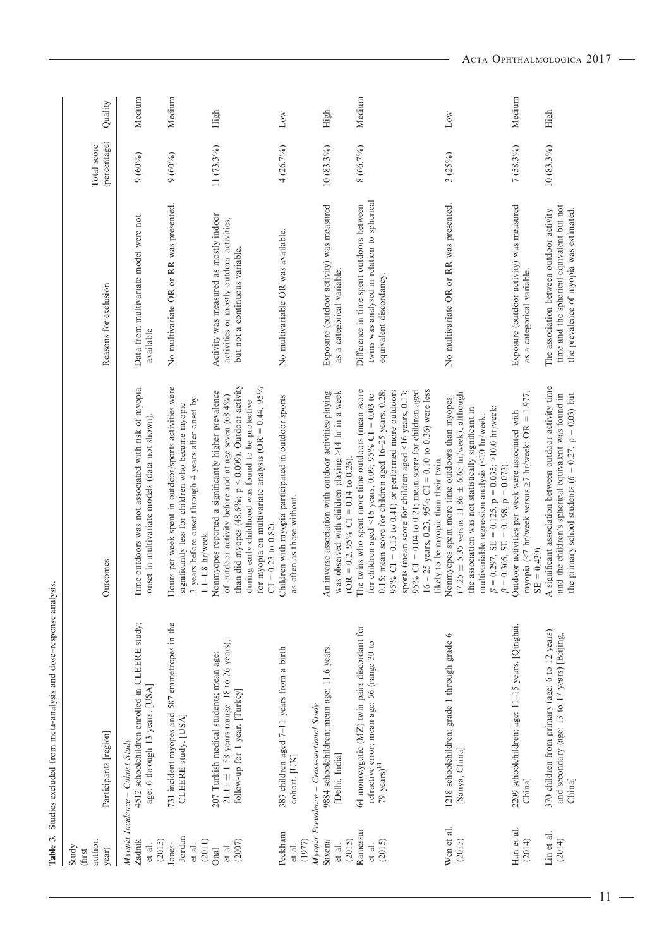|                                           | Table 3. Studies excluded from meta-analysis and dose-response analysis.                                                     |                                                                                                                                                                                                                                                                                                                                                                                                        |                                                                                                                                  |                             |         |
|-------------------------------------------|------------------------------------------------------------------------------------------------------------------------------|--------------------------------------------------------------------------------------------------------------------------------------------------------------------------------------------------------------------------------------------------------------------------------------------------------------------------------------------------------------------------------------------------------|----------------------------------------------------------------------------------------------------------------------------------|-----------------------------|---------|
| author,<br>Study<br>year)<br><b>first</b> | Participants [region]                                                                                                        | Outcomes                                                                                                                                                                                                                                                                                                                                                                                               | Reasons for exclusion                                                                                                            | (percentage)<br>Total score | Quality |
| (2015)<br>Zadnik<br>et al.                | 4512 schoolchildren enrolled in CLEERE study;<br>age: 6 through 13 years. [USA]<br>Myopia Incidence - Cohort Study           | Time outdoors was not associated with risk of myopia<br>onset in multivariate models (data not shown)                                                                                                                                                                                                                                                                                                  | Data from multivariate model were not<br>available                                                                               | 9(60%)                      | Medium  |
| Jordan<br>(2011)<br>Jones-<br>et al.      | 731 incident myopes and 587 emmetropes in the<br>CLEERE study. [USA]                                                         | Hours per week spent in outdoor/sports activities were<br>3 years before onset through 4 years after onset by<br>significantly less for children who became myopic<br>$1.1-1.8$ hr/week.                                                                                                                                                                                                               | No multivariate OR or RR was presented.                                                                                          | $9(60\%)$                   | Medium  |
| (2007)<br>et al.<br>Onal                  | 21.11 $\pm$ 1.58 years (range: 18 to 26 years);<br>207 Turkish medical students; mean age:<br>follow-up for 1 year. [Turkey] | than did myopes (48.6%; $p < 0.009$ ). Outdoor activity<br>for myopia on multivariate analysis (OR = $0.44$ , $95\%$<br>Nonmyopes reported a significantly higher prevalence<br>of outdoor activity before and at age seven (68.4%)<br>during early childhood was found to be protective                                                                                                               | Activity was measured as mostly indoor<br>activities or mostly outdoor activities,<br>but not a continuous variable.             | 11 (73.3%)                  | High    |
| Peckham<br>(1977)<br>et al.               | 383 children aged 7-11 years from a birth<br>cohort. [UK]                                                                    | Children with myopia participated in outdoor sports<br>as often as those without.<br>$CI = 0.23$ to $0.82$ ).                                                                                                                                                                                                                                                                                          | No multivariable OR was available.                                                                                               | 4 (26.7%)                   | Low     |
| (2015)<br>Saxena<br>et al.                | 9884 schoolchildren; mean age: 11.6 years.<br>Myopia Prevalence - Cross-sectional Study<br>[Delhi, India]                    | was observed with children playing >14 hr in a week<br>inverse association with outdoor activities/playing<br>(OR = 0.2, 95% CI = 0.14 to 0.26).<br>$\mathbf{A}$ n                                                                                                                                                                                                                                     | Exposure (outdoor activity) was measured<br>as a categorical variable.                                                           | $10(83.3\%)$                | High    |
| Ramessur<br>(2015)<br>et al.              | 64 monozygotic (MZ) twin pairs discordant for<br>refractive error; mean age: 56 (range 30 to<br>79 $years)^{14}$             | The twins who spent more time outdoors (mean score<br>0.15; mean score for children aged $16-25$ years, 0.28;<br>95% CI = 0.15 to 0.41) or performed more outdoors<br>95% CI = $0.04$ to 0.21; mean score for children aged<br>$16 - 25$ years, 0.23, 95% CI = 0.10 to 0.36) were less<br>sports (mean score for children aged <16 years, 0.13;<br>for children aged <16 years, 0.09; 95% CI = 0.03 to | twins was analysed in relation to spherical<br>Difference in time spent outdoors between<br>equivalent discordancy.              | 8 (66.7%)                   | Medium  |
| Wen et al.<br>(2015)                      | 1218 schoolchildren; grade 1 through grade 6<br>[Sanya, China]                                                               | $(7.25 \pm 5.35$ versus 11.86 $\pm$ 6.65 hr/week), although<br>Nonmyopes spent more time outdoors than myopes<br>= 0.297, SE = 0.125, p = 0.035; >10.0 hr/week:<br>the association was not statistically significant in<br>multivariable regression analysis (<10 hr/week:<br>likely to be myopic than their twin.<br>$\beta$                                                                          | No multivariate OR or RR was presented.                                                                                          | 3(25%)                      | Low     |
| Han et al.<br>(2014)                      | 2209 schoolchildren; age: 11-15 years. [Qinghai,<br>China]                                                                   | myopia (<7 hr/week versus $\geq$ 7 hr/week: OR = 1.977,<br>Outdoor activities per week were associated with<br>$= 0.365$ , SE $= 0.198$ , $p = 0.073$ ).<br>$SE = 0.439$ .                                                                                                                                                                                                                             | Exposure (outdoor activity) was measured<br>as a categorical variable.                                                           | $7(58.3\%)$                 | Medium  |
| Lin et al.<br>(2014)                      | 370 children from primary (age: 6 to 12 years)<br>and secondary (age: 13 to 17 years) [Beijing,<br>China]                    | significant association between outdoor activity time<br>the primary school students ( $\beta = 0.27$ , $p = 0.03$ ) but<br>and the children's spherical equivalent was found in<br>$\overline{a}$                                                                                                                                                                                                     | time and the spherical equivalent but not<br>the prevalence of myopia was estimated.<br>The association between outdoor activity | $10(83.3\%)$                | High    |

 $-11 -$ 

J.

 $\overline{\phantom{0}}$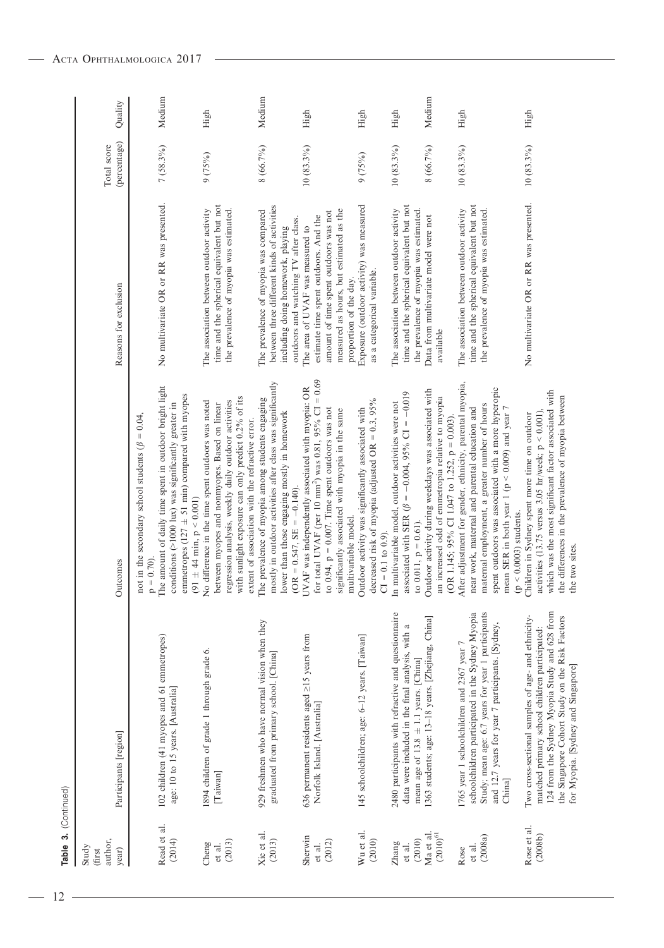| author,<br>Study<br>year)<br><b>ffirst</b> | Participants [region]                                                                                                                                                                                                                        | Outcomes                                                                                                                                                                                                                                                                                                 | Reasons for exclusion                                                                                                                                                                   | (percentage)<br>Total score | Quality    |
|--------------------------------------------|----------------------------------------------------------------------------------------------------------------------------------------------------------------------------------------------------------------------------------------------|----------------------------------------------------------------------------------------------------------------------------------------------------------------------------------------------------------------------------------------------------------------------------------------------------------|-----------------------------------------------------------------------------------------------------------------------------------------------------------------------------------------|-----------------------------|------------|
| Read et al.<br>(2014)                      | 102 children (41 myopes and 61 emmetropes)<br>age: 10 to 15 years. [Australia]                                                                                                                                                               | The amount of daily time spent in outdoor bright light<br>emmetropes (127 $\pm$ 51 min) compared with myopes<br>conditions (>1000 lux) was significantly greater in<br>not in the secondary school students ( $\beta = 0.04$ .<br>$p = 0.70$ ).                                                          | No multivariate OR or RR was presented.                                                                                                                                                 | $7(58.3\%)$                 | Medium     |
| (2013)<br>Cheng<br>et al.                  | 1894 children of grade 1 through grade 6.<br>[Taiwan]                                                                                                                                                                                        | with sunlight exposure can only predict 0.2% of its<br>regression analysis, weekly daily outdoor activities<br>o difference in the time spent outdoors was noted<br>between myopes and nonmyopes. Based on linear<br>extent of association with the refractive error.<br>91 ± 44 min, $p < 0.001$ )<br>z | time and the spherical equivalent but not<br>the prevalence of myopia was estimated.<br>The association between outdoor activity                                                        | 9(75%)                      | High       |
| Xie et al.<br>(2013)                       | 929 freshmen who have normal vision when they<br>graduated from primary school. [China]                                                                                                                                                      | mostly in outdoor activities after class was significantly<br>The prevalence of myopia among students engaging<br>ower than those engaging mostly in homework<br>OR = $0.547$ , SE = $-0.140$ ).                                                                                                         | between three different kinds of activities<br>The prevalence of myopia was compared<br>outdoors and watching TV after class.<br>including doing homework, playing                      | 8 (66.7%)                   | Medium     |
| Sherwin<br>(2012)<br>et al.                | 636 permanent residents aged $\geq$ 15 years from<br>Norfolk Island. [Australia]                                                                                                                                                             | for total UVAF (per 10 mm <sup>2</sup> ) was 0.81, 95% CI = $0.69$<br>UVAF was independently associated with myopia: OR<br>to $0.94$ , $p = 0.007$ . Time spent outdoors was not<br>significantly associated with myopia in the same<br>multivariable model.                                             | measured as hours, but estimated as the<br>amount of time spent outdoors was not<br>estimate time spent outdoors. And the<br>The area of UVAF was measured to<br>proportion of the day. | $10(83.3\%)$                | $\rm High$ |
| Wu et al.<br>(2010)                        | 145 schoolchildren; age: 6-12 years. [Taiwan]                                                                                                                                                                                                | decreased risk of myopia (adjusted OR = $0.3$ , 95%<br>Outdoor activity was significantly associated with<br>$CI = 0.1$ to 0.9).                                                                                                                                                                         | Exposure (outdoor activity) was measured<br>as a categorical variable.                                                                                                                  | 9(75%)                      | High       |
| (2010)<br>Zhang<br>et al.                  | 2480 participants with refractive and questionnaire<br>data were included in the final analysis, with a<br>mean age of 13.8 $\pm$ 1.1 years. [China]                                                                                         | associated with SER ( $\beta = -0.004$ , 95% CI = -0.019<br>In multivariable model, outdoor activities were not<br>to $0.011$ , $p = 0.61$ ).                                                                                                                                                            | time and the spherical equivalent but not<br>The association between outdoor activity<br>the prevalence of myopia was estimated.                                                        | $10(83.3\%)$                | High       |
| $(2010)^{61}\,$<br>Ma et al.               | 1363 students; age: 13-18 years. [Zhejiang, China]                                                                                                                                                                                           | Outdoor activity during weekdays was associated with<br>an increased odd of emmetropia relative to myopia<br>(OR 1.145; 95% CI 1.047 to 1.252, $p = 0.003$ ).                                                                                                                                            | Data from multivariate model were not<br>available                                                                                                                                      | 8 (66.7%)                   | Medium     |
| (2008a)<br>et al.<br>Rose                  | Study; mean age: 6.7 years for year 1 participants<br>schoolchildren participated in the Sydney Myopia<br>and 12.7 years for year 7 participants. [Sydney,<br>1765 year 1 schoolchildren and 2367 year 7<br>China]                           | After adjustment for gender, ethnicity, parental myopia,<br>spent outdoors was associated with a more hyperopic<br>maternal employment, a greater number of hours<br>nean SER in both year 1 ( $p < 0.009$ ) and year 7<br>near work, maternal and parental education and<br>$(p < 0.0003)$ students.    | time and the spherical equivalent but not<br>the prevalence of myopia was estimated.<br>The association between outdoor activity                                                        | $10(83.3\%)$                | High       |
| Rose et al.<br>(2008b)                     | 124 from the Sydney Myopia Study and 628 from<br>Two cross-sectional samples of age- and ethnicity-<br>the Singapore Cohort Study on the Risk Factors<br>matched primary school children participated:<br>for Myopia. [Sydney and Singapore] | which was the most significant factor associated with<br>he differences in the prevalence of myopia between<br>activities (13.75 versus 3.05 hr/week; $p < 0.001$ ),<br>Children in Sydney spent more time on outdoor<br>he two sites.                                                                   | No multivariate OR or RR was presented.                                                                                                                                                 | $10(83.3\%)$                | High       |

Table 3. (Continued)

Table 3. (Continued)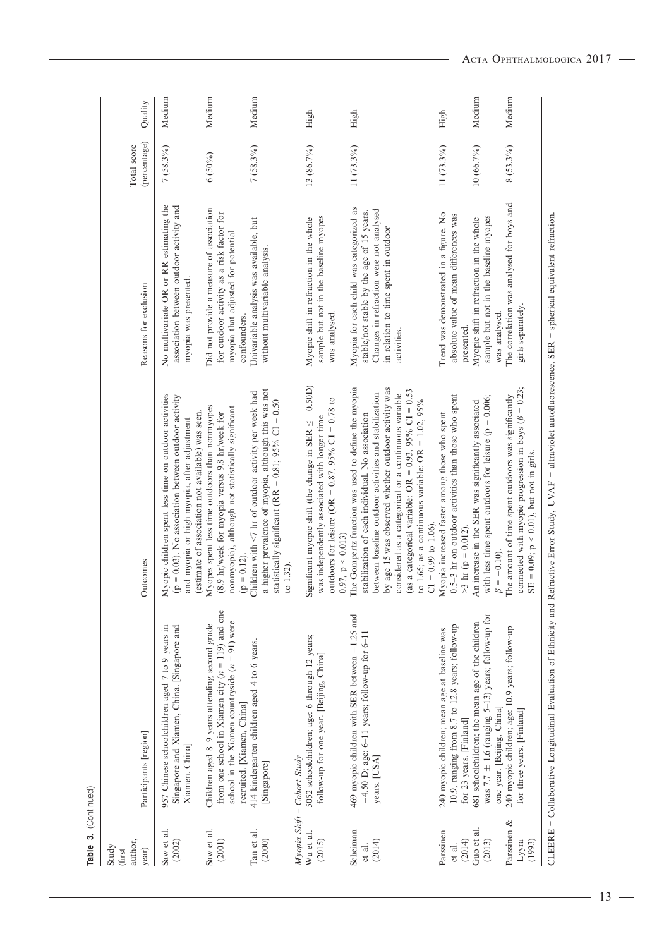| author,<br>Study<br>year)<br>(first | Participants [region]                                                                                                                                                                  | Outcomes                                                                                                                                                                                                                                                                                                                                                                                                                      | Reasons for exclusion                                                                                                                                                                   | (percentage)<br>Total score | Quality |
|-------------------------------------|----------------------------------------------------------------------------------------------------------------------------------------------------------------------------------------|-------------------------------------------------------------------------------------------------------------------------------------------------------------------------------------------------------------------------------------------------------------------------------------------------------------------------------------------------------------------------------------------------------------------------------|-----------------------------------------------------------------------------------------------------------------------------------------------------------------------------------------|-----------------------------|---------|
| Saw et al.<br>(2002)                | Singapore and Xiamen, China. [Singapore and<br>957 Chinese schoolchildren aged 7 to 9 years in<br>Xiamen, China]                                                                       | Myopic children spent less time on outdoor activities<br>$= 0.03$ ). No association between outdoor activity<br>(estimate of association not available) was seen.<br>and myopia or high myopia, after adjustment<br>$\Theta$                                                                                                                                                                                                  | No multivariate OR or RR estimating the<br>association between outdoor activity and<br>myopia was presented.                                                                            | $7(58.3\%)$                 | Medium  |
| Saw et al.<br>(2001)                | from one school in Xiamen city $(n = 119)$ and one<br>school in the Xiamen countryside $(n = 91)$ were<br>Children aged 8-9 years attending second grade<br>recruited. [Xiamen, China] | Myopes spent less time outdoors than nonmyopes<br>nonmyopia), although not statistically significant<br>(8.9 hr/week for myopia versus 9.8 hr/week for<br>$= 0.12$<br>$\Theta$                                                                                                                                                                                                                                                | Did not provide a measure of association<br>for outdoor activity as a risk factor for<br>myopia that adjusted for potential<br>confounders.                                             | $6(50\%)$                   | Medium  |
| Tan et al.<br>(2000)                | 414 kindergarten children aged 4 to 6 years.<br>[Singapore]                                                                                                                            | a higher prevalence of myopia, although this was not<br>Children with $\leq 7$ hr of outdoor activity per week had<br>statistically significant (RR = $0.81$ ; $95\%$ CI = 0.50<br>to $1.32$                                                                                                                                                                                                                                  | Univariable analysis was available, but<br>without multivariable analysis.                                                                                                              | $7(58.3\%)$                 | Medium  |
|                                     | Myopia Shift - Cohort Study                                                                                                                                                            |                                                                                                                                                                                                                                                                                                                                                                                                                               |                                                                                                                                                                                         |                             |         |
| Wu et al.<br>(2015)                 | 5052 schoolchildren; age: 6 through 12 years;<br>follow-up for one year. [Beijing, China]                                                                                              | Significant myopic shift (the change in SER $\leq -0.50D$ )<br>outdoors for leisure (OR = $0.87$ , $95\%$ CI = 0.78 to<br>was independently associated with longer time<br>0.97, p < 0.013                                                                                                                                                                                                                                    | sample but not in the baseline myopes<br>Myopic shift in refraction in the whole<br>was analysed                                                                                        | 13 (86.7%)                  | High    |
| Scheiman<br>(2014)<br>et al.        | 469 myopic children with SER between -1.25 and<br>$-4.50$ D; age: 6-11 years; follow-up for 6-11<br>years. [USA]                                                                       | The Gompertz function was used to define the myopia<br>by age 15 was observed whether outdoor activity was<br>(as a categorical variable: OR = $0.93$ , 95% CI = $0.53$<br>between baseline outdoor activities and stabilization<br>considered as a categorical or a continuous variable<br>to 1.65; as a continuous variable: OR = 1.02, $95\%$<br>stabilization of each individual. No association<br>$CI = 0.99$ to 1.06). | Myopia for each child was categorized as<br>Changes in refraction were not analysed<br>stable/not stable by the age of 15 years.<br>in relation to time spent in outdoor<br>activities. | 11 (73.3%)                  | High    |
| Parssinen<br>(2014)<br>et al.       | 10.9, ranging from 8.7 to 12.8 years; follow-up<br>240 myopic children; mean age at baseline was<br>for 23 years. [Finland]                                                            | 0.5-3 hr on outdoor activities than those who spent<br>Myopia increased faster among those who spent<br>>3 hr (p = 0.012).                                                                                                                                                                                                                                                                                                    | Trend was demonstrated in a figure. No<br>absolute value of mean differences was<br>presented.                                                                                          | 11 (73.3%)                  | High    |
| Guo et al.<br>(2013)                | was 7.7 $\pm$ 1.6 (ranging 5-13) years; follow-up for<br>681 schoolchildren; the mean age of the children<br>one year. [Beijing, China]                                                | with less time spent outdoors for leisure ( $p = 0.006$ ;<br>An increase in the SER was significantly associated<br>$\beta = -0.10$ ).                                                                                                                                                                                                                                                                                        | sample but not in the baseline myopes<br>Myopic shift in refraction in the whole<br>was analysed.                                                                                       | 10 (66.7%)                  | Medium  |
| Parssinen &<br>Lууга<br>(1993)      | 240 myopic children; age: 10.9 years; follow-up<br>for three years. [Finland]                                                                                                          | connected with myopic progression in boys ( $\beta = 0.23$ ;<br>The amount of time spent outdoors was significantly<br>SE = $0.09$ ; $p < 0.01$ ), but not in girls.                                                                                                                                                                                                                                                          | The correlation was analysed for boys and<br>girls separately.                                                                                                                          | $8(53.3\%)$                 | Medium  |
|                                     |                                                                                                                                                                                        | CLEERE = Collaborative Longitudinal Evaluation of Ethnicity and Refractive Error Study, UVAF = ultraviolet autofluorescence, SER = spherical equivalent refraction.                                                                                                                                                                                                                                                           |                                                                                                                                                                                         |                             |         |

Table 3. (Continued) Table 3. (Continued)

 $-13 -$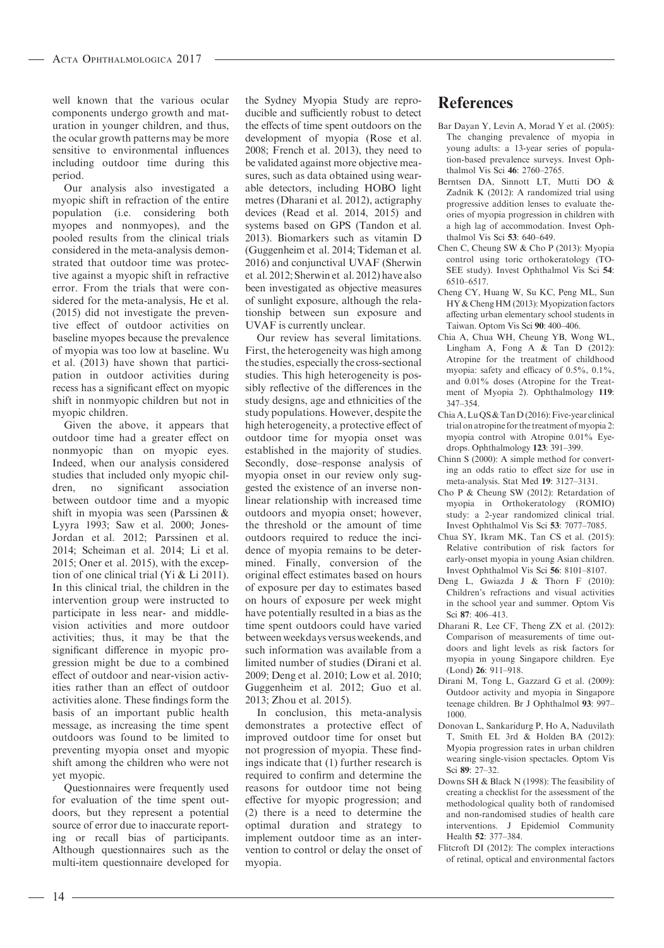well known that the various ocular components undergo growth and maturation in younger children, and thus, the ocular growth patterns may be more sensitive to environmental influences including outdoor time during this period.

Our analysis also investigated a myopic shift in refraction of the entire population (i.e. considering both myopes and nonmyopes), and the pooled results from the clinical trials considered in the meta-analysis demonstrated that outdoor time was protective against a myopic shift in refractive error. From the trials that were considered for the meta-analysis, He et al. (2015) did not investigate the preventive effect of outdoor activities on baseline myopes because the prevalence of myopia was too low at baseline. Wu et al. (2013) have shown that participation in outdoor activities during recess has a significant effect on myopic shift in nonmyopic children but not in myopic children.

Given the above, it appears that outdoor time had a greater effect on nonmyopic than on myopic eyes. Indeed, when our analysis considered studies that included only myopic children, no significant association between outdoor time and a myopic shift in myopia was seen (Parssinen & Lyyra 1993; Saw et al. 2000; Jones-Jordan et al. 2012; Parssinen et al. 2014; Scheiman et al. 2014; Li et al. 2015; Oner et al. 2015), with the exception of one clinical trial (Yi & Li 2011). In this clinical trial, the children in the intervention group were instructed to participate in less near- and middlevision activities and more outdoor activities; thus, it may be that the significant difference in myopic progression might be due to a combined effect of outdoor and near-vision activities rather than an effect of outdoor activities alone. These findings form the basis of an important public health message, as increasing the time spent outdoors was found to be limited to preventing myopia onset and myopic shift among the children who were not yet myopic.

Questionnaires were frequently used for evaluation of the time spent outdoors, but they represent a potential source of error due to inaccurate reporting or recall bias of participants. Although questionnaires such as the multi-item questionnaire developed for

the Sydney Myopia Study are reproducible and sufficiently robust to detect the effects of time spent outdoors on the development of myopia (Rose et al. 2008; French et al. 2013), they need to be validated against more objective measures, such as data obtained using wearable detectors, including HOBO light metres (Dharani et al. 2012), actigraphy devices (Read et al. 2014, 2015) and systems based on GPS (Tandon et al. 2013). Biomarkers such as vitamin D (Guggenheim et al. 2014; Tideman et al. 2016) and conjunctival UVAF (Sherwin et al. 2012; Sherwin et al. 2012) have also been investigated as objective measures of sunlight exposure, although the relationship between sun exposure and UVAF is currently unclear.

Our review has several limitations. First, the heterogeneity was high among the studies, especially the cross-sectional studies. This high heterogeneity is possibly reflective of the differences in the study designs, age and ethnicities of the study populations. However, despite the high heterogeneity, a protective effect of outdoor time for myopia onset was established in the majority of studies. Secondly, dose–response analysis of myopia onset in our review only suggested the existence of an inverse nonlinear relationship with increased time outdoors and myopia onset; however, the threshold or the amount of time outdoors required to reduce the incidence of myopia remains to be determined. Finally, conversion of the original effect estimates based on hours of exposure per day to estimates based on hours of exposure per week might have potentially resulted in a bias as the time spent outdoors could have varied between weekdays versus weekends, and such information was available from a limited number of studies (Dirani et al. 2009; Deng et al. 2010; Low et al. 2010; Guggenheim et al. 2012; Guo et al. 2013; Zhou et al. 2015).

In conclusion, this meta-analysis demonstrates a protective effect of improved outdoor time for onset but not progression of myopia. These findings indicate that (1) further research is required to confirm and determine the reasons for outdoor time not being effective for myopic progression; and (2) there is a need to determine the optimal duration and strategy to implement outdoor time as an intervention to control or delay the onset of myopia.

# References

- Bar Dayan Y, Levin A, Morad Y et al. (2005): The changing prevalence of myopia in young adults: a 13-year series of population-based prevalence surveys. Invest Ophthalmol Vis Sci 46: 2760–2765.
- Berntsen DA, Sinnott LT, Mutti DO & Zadnik K (2012): A randomized trial using progressive addition lenses to evaluate theories of myopia progression in children with a high lag of accommodation. Invest Ophthalmol Vis Sci 53: 640–649.
- Chen C, Cheung SW & Cho P (2013): Myopia control using toric orthokeratology (TO-SEE study). Invest Ophthalmol Vis Sci 54: 6510–6517.
- Cheng CY, Huang W, Su KC, Peng ML, Sun HY & Cheng HM (2013): Myopization factors affecting urban elementary school students in Taiwan. Optom Vis Sci 90: 400–406.
- Chia A, Chua WH, Cheung YB, Wong WL, Lingham A, Fong A & Tan D (2012): Atropine for the treatment of childhood myopia: safety and efficacy of 0.5%, 0.1%, and 0.01% doses (Atropine for the Treatment of Myopia 2). Ophthalmology 119: 347–354.
- Chia A, Lu QS & Tan D (2016): Five-year clinical trial on atropine for the treatment of myopia 2: myopia control with Atropine 0.01% Eyedrops. Ophthalmology 123: 391–399.
- Chinn S (2000): A simple method for converting an odds ratio to effect size for use in meta-analysis. Stat Med 19: 3127–3131.
- Cho P & Cheung SW (2012): Retardation of myopia in Orthokeratology (ROMIO) study: a 2-year randomized clinical trial. Invest Ophthalmol Vis Sci 53: 7077–7085.
- Chua SY, Ikram MK, Tan CS et al. (2015): Relative contribution of risk factors for early-onset myopia in young Asian children. Invest Ophthalmol Vis Sci 56: 8101–8107.
- Deng L, Gwiazda J & Thorn F (2010): Children's refractions and visual activities in the school year and summer. Optom Vis Sci 87: 406–413.
- Dharani R, Lee CF, Theng ZX et al. (2012): Comparison of measurements of time outdoors and light levels as risk factors for myopia in young Singapore children. Eye (Lond) 26: 911–918.
- Dirani M, Tong L, Gazzard G et al. (2009): Outdoor activity and myopia in Singapore teenage children. Br J Ophthalmol 93: 997– 1000.
- Donovan L, Sankaridurg P, Ho A, Naduvilath T, Smith EL 3rd & Holden BA (2012): Myopia progression rates in urban children wearing single-vision spectacles. Optom Vis Sci 89: 27–32.
- Downs SH & Black N (1998): The feasibility of creating a checklist for the assessment of the methodological quality both of randomised and non-randomised studies of health care interventions. J Epidemiol Community Health 52: 377–384.
- Flitcroft DI (2012): The complex interactions of retinal, optical and environmental factors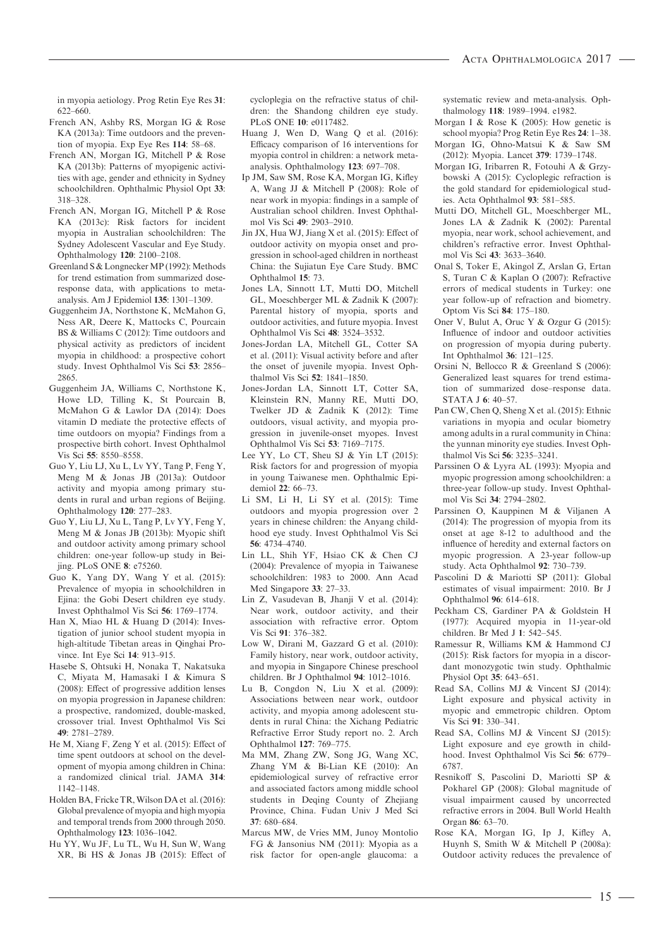in myopia aetiology. Prog Retin Eye Res 31: 622–660.

- French AN, Ashby RS, Morgan IG & Rose KA (2013a): Time outdoors and the prevention of myopia. Exp Eye Res 114: 58–68.
- French AN, Morgan IG, Mitchell P & Rose KA (2013b): Patterns of myopigenic activities with age, gender and ethnicity in Sydney schoolchildren. Ophthalmic Physiol Opt 33: 318–328.
- French AN, Morgan IG, Mitchell P & Rose KA (2013c): Risk factors for incident myopia in Australian schoolchildren: The Sydney Adolescent Vascular and Eye Study. Ophthalmology 120: 2100–2108.
- Greenland S & Longnecker MP (1992): Methods for trend estimation from summarized doseresponse data, with applications to metaanalysis. Am J Epidemiol 135: 1301–1309.
- Guggenheim JA, Northstone K, McMahon G, Ness AR, Deere K, Mattocks C, Pourcain BS & Williams C (2012): Time outdoors and physical activity as predictors of incident myopia in childhood: a prospective cohort study. Invest Ophthalmol Vis Sci 53: 2856– 2865.
- Guggenheim JA, Williams C, Northstone K, Howe LD, Tilling K, St Pourcain B, McMahon G & Lawlor DA (2014): Does vitamin D mediate the protective effects of time outdoors on myopia? Findings from a prospective birth cohort. Invest Ophthalmol Vis Sci 55: 8550–8558.
- Guo Y, Liu LJ, Xu L, Lv YY, Tang P, Feng Y, Meng M & Jonas JB (2013a): Outdoor activity and myopia among primary students in rural and urban regions of Beijing. Ophthalmology 120: 277–283.
- Guo Y, Liu LJ, Xu L, Tang P, Lv YY, Feng Y, Meng M & Jonas JB (2013b): Myopic shift and outdoor activity among primary school children: one-year follow-up study in Beijing. PLoS ONE 8: e75260.
- Guo K, Yang DY, Wang Y et al. (2015): Prevalence of myopia in schoolchildren in Ejina: the Gobi Desert children eye study. Invest Ophthalmol Vis Sci 56: 1769–1774.
- Han X, Miao HL & Huang D (2014): Investigation of junior school student myopia in high-altitude Tibetan areas in Qinghai Province. Int Eye Sci 14: 913–915.
- Hasebe S, Ohtsuki H, Nonaka T, Nakatsuka C, Miyata M, Hamasaki I & Kimura S (2008): Effect of progressive addition lenses on myopia progression in Japanese children: a prospective, randomized, double-masked, crossover trial. Invest Ophthalmol Vis Sci 49: 2781–2789.
- He M, Xiang F, Zeng Y et al. (2015): Effect of time spent outdoors at school on the development of myopia among children in China: a randomized clinical trial. JAMA 314: 1142–1148.
- Holden BA, Fricke TR,Wilson DA et al. (2016): Global prevalence of myopia and high myopia and temporal trends from 2000 through 2050. Ophthalmology 123: 1036–1042.
- Hu YY, Wu JF, Lu TL, Wu H, Sun W, Wang XR, Bi HS & Jonas JB (2015): Effect of

cycloplegia on the refractive status of children: the Shandong children eye study. PLoS ONE 10: e0117482.

- Huang J, Wen D, Wang Q et al. (2016): Efficacy comparison of 16 interventions for myopia control in children: a network metaanalysis. Ophthalmology 123: 697–708.
- Ip JM, Saw SM, Rose KA, Morgan IG, Kifley A, Wang JJ & Mitchell P (2008): Role of near work in myopia: findings in a sample of Australian school children. Invest Ophthalmol Vis Sci 49: 2903–2910.
- Jin JX, Hua WJ, Jiang X et al. (2015): Effect of outdoor activity on myopia onset and progression in school-aged children in northeast China: the Sujiatun Eye Care Study. BMC Ophthalmol 15: 73.
- Jones LA, Sinnott LT, Mutti DO, Mitchell GL, Moeschberger ML & Zadnik K (2007): Parental history of myopia, sports and outdoor activities, and future myopia. Invest Ophthalmol Vis Sci 48: 3524–3532.
- Jones-Jordan LA, Mitchell GL, Cotter SA et al. (2011): Visual activity before and after the onset of juvenile myopia. Invest Ophthalmol Vis Sci 52: 1841–1850.
- Jones-Jordan LA, Sinnott LT, Cotter SA, Kleinstein RN, Manny RE, Mutti DO, Twelker JD & Zadnik K (2012): Time outdoors, visual activity, and myopia progression in juvenile-onset myopes. Invest Ophthalmol Vis Sci 53: 7169–7175.
- Lee YY, Lo CT, Sheu SJ & Yin LT (2015): Risk factors for and progression of myopia in young Taiwanese men. Ophthalmic Epidemiol 22: 66–73.
- Li SM, Li H, Li SY et al. (2015): Time outdoors and myopia progression over 2 years in chinese children: the Anyang childhood eye study. Invest Ophthalmol Vis Sci 56: 4734–4740.
- Lin LL, Shih YF, Hsiao CK & Chen CJ (2004): Prevalence of myopia in Taiwanese schoolchildren: 1983 to 2000. Ann Acad Med Singapore 33: 27–33.
- Lin Z, Vasudevan B, Jhanji V et al. (2014): Near work, outdoor activity, and their association with refractive error. Optom Vis Sci 91: 376–382.
- Low W, Dirani M, Gazzard G et al. (2010): Family history, near work, outdoor activity, and myopia in Singapore Chinese preschool children. Br J Ophthalmol 94: 1012–1016.
- Lu B, Congdon N, Liu X et al. (2009): Associations between near work, outdoor activity, and myopia among adolescent students in rural China: the Xichang Pediatric Refractive Error Study report no. 2. Arch Ophthalmol 127: 769–775.
- Ma MM, Zhang ZW, Song JG, Wang XC, Zhang YM & Bi-Lian KE (2010): An epidemiological survey of refractive error and associated factors among middle school students in Deqing County of Zhejiang Province, China. Fudan Univ J Med Sci 37: 680–684.
- Marcus MW, de Vries MM, Junoy Montolio FG & Jansonius NM (2011): Myopia as a risk factor for open-angle glaucoma: a

systematic review and meta-analysis. Ophthalmology 118: 1989–1994. e1982.

- Morgan I & Rose K (2005): How genetic is school myopia? Prog Retin Eye Res 24: 1–38.
- Morgan IG, Ohno-Matsui K & Saw SM (2012): Myopia. Lancet 379: 1739–1748.
- Morgan IG, Iribarren R, Fotouhi A & Grzybowski A (2015): Cycloplegic refraction is the gold standard for epidemiological studies. Acta Ophthalmol 93: 581–585.
- Mutti DO, Mitchell GL, Moeschberger ML, Jones LA & Zadnik K (2002): Parental myopia, near work, school achievement, and children's refractive error. Invest Ophthalmol Vis Sci 43: 3633–3640.
- Onal S, Toker E, Akingol Z, Arslan G, Ertan S, Turan C & Kaplan O (2007): Refractive errors of medical students in Turkey: one year follow-up of refraction and biometry. Optom Vis Sci 84: 175–180.
- Oner V, Bulut A, Oruc Y & Ozgur G (2015): Influence of indoor and outdoor activities on progression of myopia during puberty. Int Ophthalmol 36: 121–125.
- Orsini N, Bellocco R & Greenland S (2006): Generalized least squares for trend estimation of summarized dose–response data. STATA J 6: 40–57.
- Pan CW, Chen Q, Sheng X et al. (2015): Ethnic variations in myopia and ocular biometry among adults in a rural community in China: the yunnan minority eye studies. Invest Ophthalmol Vis Sci 56: 3235–3241.
- Parssinen O & Lyyra AL (1993): Myopia and myopic progression among schoolchildren: a three-year follow-up study. Invest Ophthalmol Vis Sci 34: 2794–2802.
- Parssinen O, Kauppinen M & Viljanen A (2014): The progression of myopia from its onset at age 8-12 to adulthood and the influence of heredity and external factors on myopic progression. A 23-year follow-up study. Acta Ophthalmol 92: 730–739.
- Pascolini D & Mariotti SP (2011): Global estimates of visual impairment: 2010. Br J Ophthalmol 96: 614–618.
- Peckham CS, Gardiner PA & Goldstein H (1977): Acquired myopia in 11-year-old children. Br Med J 1: 542–545.
- Ramessur R, Williams KM & Hammond CJ (2015): Risk factors for myopia in a discordant monozygotic twin study. Ophthalmic Physiol Opt 35: 643–651.
- Read SA, Collins MJ & Vincent SJ (2014): Light exposure and physical activity in myopic and emmetropic children. Optom Vis Sci 91: 330–341.
- Read SA, Collins MJ & Vincent SJ (2015): Light exposure and eye growth in childhood. Invest Ophthalmol Vis Sci 56: 6779– 6787.
- Resnikoff S, Pascolini D, Mariotti SP & Pokharel GP (2008): Global magnitude of visual impairment caused by uncorrected refractive errors in 2004. Bull World Health Organ 86: 63–70.
- Rose KA, Morgan IG, Ip J, Kifley A, Huynh S, Smith W & Mitchell P (2008a): Outdoor activity reduces the prevalence of